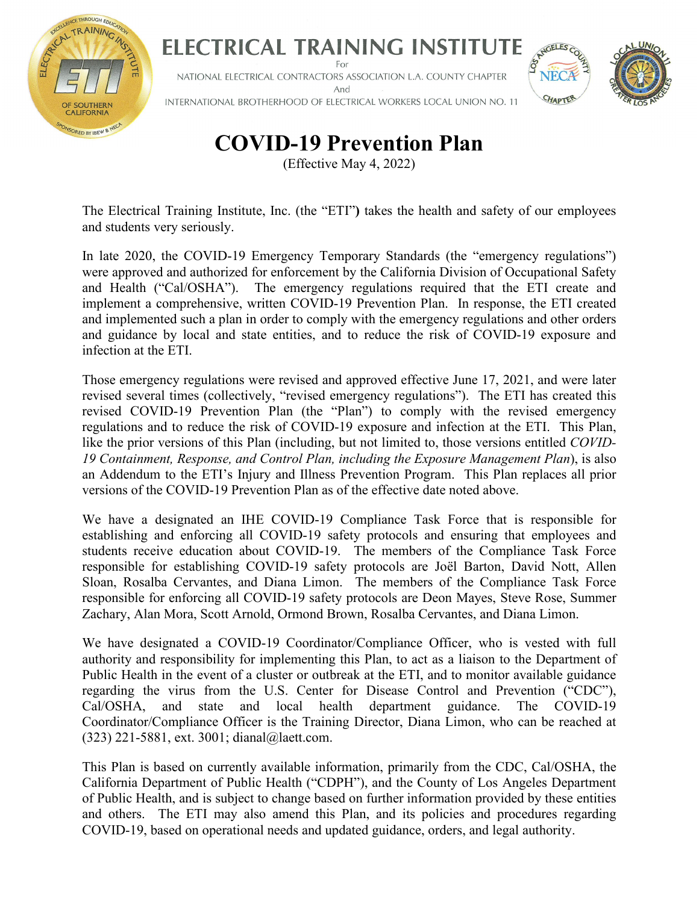

# ELECTRICAL TRAINING INSTITUTE

NATIONAL ELECTRICAL CONTRACTORS ASSOCIATION L.A. COUNTY CHAPTER And INTERNATIONAL BROTHERHOOD OF ELECTRICAL WORKERS LOCAL UNION NO. 11



# **COVID-19 Prevention Plan**

(Effective May 4, 2022)

The Electrical Training Institute, Inc. (the "ETI"**)** takes the health and safety of our employees and students very seriously.

In late 2020, the COVID-19 Emergency Temporary Standards (the "emergency regulations") were approved and authorized for enforcement by the California Division of Occupational Safety and Health ("Cal/OSHA"). The emergency regulations required that the ETI create and implement a comprehensive, written COVID-19 Prevention Plan. In response, the ETI created and implemented such a plan in order to comply with the emergency regulations and other orders and guidance by local and state entities, and to reduce the risk of COVID-19 exposure and infection at the ETI.

Those emergency regulations were revised and approved effective June 17, 2021, and were later revised several times (collectively, "revised emergency regulations"). The ETI has created this revised COVID-19 Prevention Plan (the "Plan") to comply with the revised emergency regulations and to reduce the risk of COVID-19 exposure and infection at the ETI. This Plan, like the prior versions of this Plan (including, but not limited to, those versions entitled *COVID-19 Containment, Response, and Control Plan, including the Exposure Management Plan*), is also an Addendum to the ETI's Injury and Illness Prevention Program. This Plan replaces all prior versions of the COVID-19 Prevention Plan as of the effective date noted above.

We have a designated an IHE COVID-19 Compliance Task Force that is responsible for establishing and enforcing all COVID-19 safety protocols and ensuring that employees and students receive education about COVID-19. The members of the Compliance Task Force responsible for establishing COVID-19 safety protocols are Joël Barton, David Nott, Allen Sloan, Rosalba Cervantes, and Diana Limon. The members of the Compliance Task Force responsible for enforcing all COVID-19 safety protocols are Deon Mayes, Steve Rose, Summer Zachary, Alan Mora, Scott Arnold, Ormond Brown, Rosalba Cervantes, and Diana Limon.

We have designated a COVID-19 Coordinator/Compliance Officer, who is vested with full authority and responsibility for implementing this Plan, to act as a liaison to the Department of Public Health in the event of a cluster or outbreak at the ETI, and to monitor available guidance regarding the virus from the U.S. Center for Disease Control and Prevention ("CDC"), Cal/OSHA, and state and local health department guidance. The COVID-19 Coordinator/Compliance Officer is the Training Director, Diana Limon, who can be reached at (323) 221-5881, ext. 3001; dianal@laett.com.

This Plan is based on currently available information, primarily from the CDC, Cal/OSHA, the California Department of Public Health ("CDPH"), and the County of Los Angeles Department of Public Health, and is subject to change based on further information provided by these entities and others. The ETI may also amend this Plan, and its policies and procedures regarding COVID-19, based on operational needs and updated guidance, orders, and legal authority.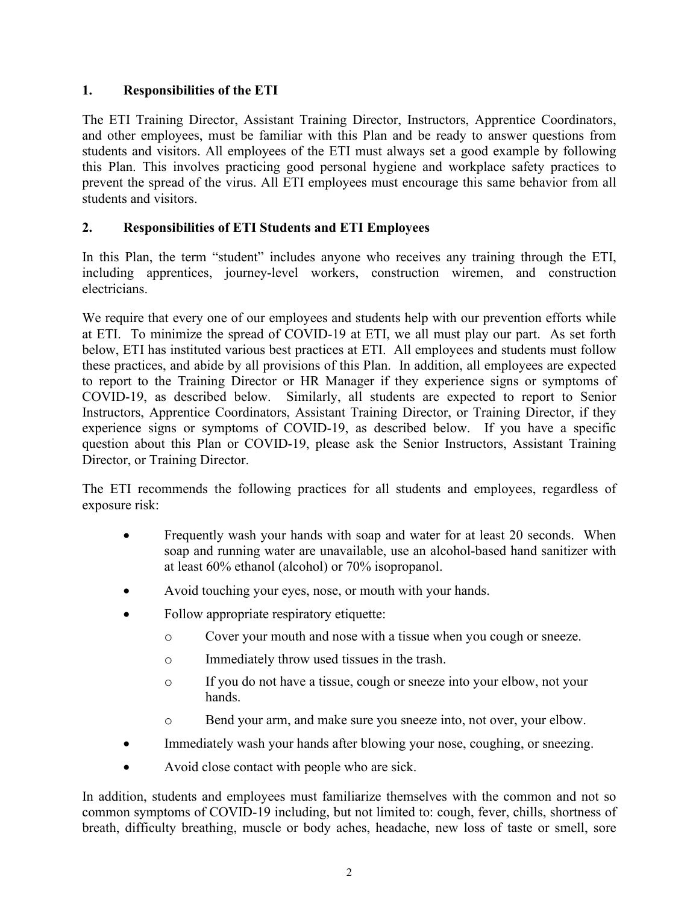#### **1. Responsibilities of the ETI**

The ETI Training Director, Assistant Training Director, Instructors, Apprentice Coordinators, and other employees, must be familiar with this Plan and be ready to answer questions from students and visitors. All employees of the ETI must always set a good example by following this Plan. This involves practicing good personal hygiene and workplace safety practices to prevent the spread of the virus. All ETI employees must encourage this same behavior from all students and visitors.

#### **2. Responsibilities of ETI Students and ETI Employees**

In this Plan, the term "student" includes anyone who receives any training through the ETI, including apprentices, journey-level workers, construction wiremen, and construction electricians.

We require that every one of our employees and students help with our prevention efforts while at ETI. To minimize the spread of COVID-19 at ETI, we all must play our part. As set forth below, ETI has instituted various best practices at ETI. All employees and students must follow these practices, and abide by all provisions of this Plan. In addition, all employees are expected to report to the Training Director or HR Manager if they experience signs or symptoms of COVID-19, as described below. Similarly, all students are expected to report to Senior Instructors, Apprentice Coordinators, Assistant Training Director, or Training Director, if they experience signs or symptoms of COVID-19, as described below. If you have a specific question about this Plan or COVID-19, please ask the Senior Instructors, Assistant Training Director, or Training Director.

The ETI recommends the following practices for all students and employees, regardless of exposure risk:

- Frequently wash your hands with soap and water for at least 20 seconds. When soap and running water are unavailable, use an alcohol-based hand sanitizer with at least 60% ethanol (alcohol) or 70% isopropanol.
- Avoid touching your eyes, nose, or mouth with your hands.
- Follow appropriate respiratory etiquette:
	- o Cover your mouth and nose with a tissue when you cough or sneeze.
	- o Immediately throw used tissues in the trash.
	- o If you do not have a tissue, cough or sneeze into your elbow, not your hands.
	- o Bend your arm, and make sure you sneeze into, not over, your elbow.
- Immediately wash your hands after blowing your nose, coughing, or sneezing.
- Avoid close contact with people who are sick.

In addition, students and employees must familiarize themselves with the common and not so common symptoms of COVID-19 including, but not limited to: cough, fever, chills, shortness of breath, difficulty breathing, muscle or body aches, headache, new loss of taste or smell, sore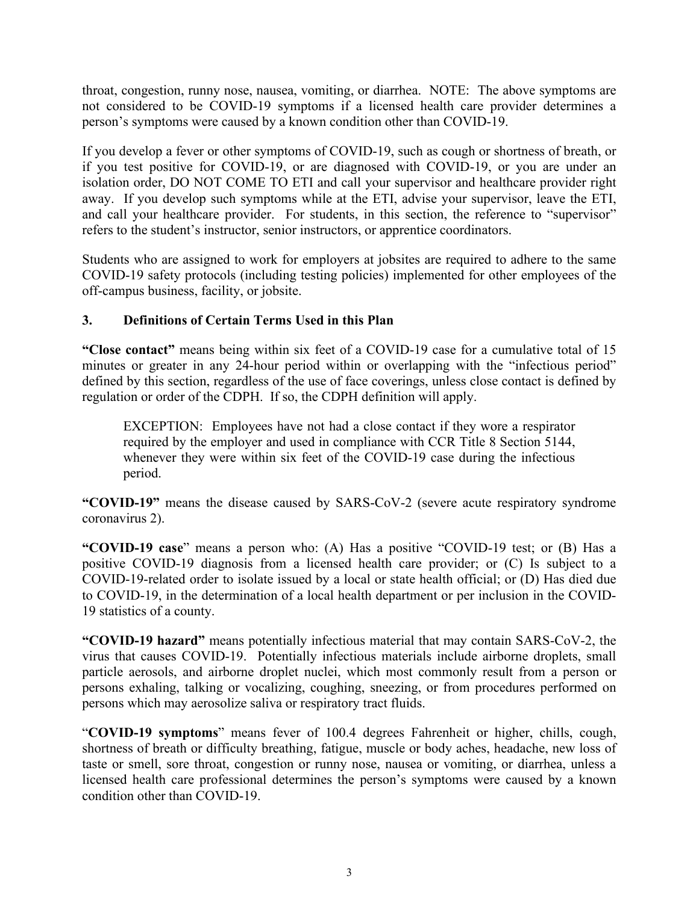throat, congestion, runny nose, nausea, vomiting, or diarrhea. NOTE: The above symptoms are not considered to be COVID-19 symptoms if a licensed health care provider determines a person's symptoms were caused by a known condition other than COVID-19.

If you develop a fever or other symptoms of COVID-19, such as cough or shortness of breath, or if you test positive for COVID-19, or are diagnosed with COVID-19, or you are under an isolation order, DO NOT COME TO ETI and call your supervisor and healthcare provider right away. If you develop such symptoms while at the ETI, advise your supervisor, leave the ETI, and call your healthcare provider. For students, in this section, the reference to "supervisor" refers to the student's instructor, senior instructors, or apprentice coordinators.

Students who are assigned to work for employers at jobsites are required to adhere to the same COVID-19 safety protocols (including testing policies) implemented for other employees of the off-campus business, facility, or jobsite.

#### **3. Definitions of Certain Terms Used in this Plan**

**"Close contact"** means being within six feet of a COVID-19 case for a cumulative total of 15 minutes or greater in any 24-hour period within or overlapping with the "infectious period" defined by this section, regardless of the use of face coverings, unless close contact is defined by regulation or order of the CDPH. If so, the CDPH definition will apply.

EXCEPTION: Employees have not had a close contact if they wore a respirator required by the employer and used in compliance with CCR Title 8 Section 5144, whenever they were within six feet of the COVID-19 case during the infectious period.

**"COVID-19"** means the disease caused by SARS-CoV-2 (severe acute respiratory syndrome coronavirus 2).

**"COVID-19 case**" means a person who: (A) Has a positive "COVID-19 test; or (B) Has a positive COVID-19 diagnosis from a licensed health care provider; or (C) Is subject to a COVID-19-related order to isolate issued by a local or state health official; or (D) Has died due to COVID-19, in the determination of a local health department or per inclusion in the COVID-19 statistics of a county.

**"COVID-19 hazard"** means potentially infectious material that may contain SARS-CoV-2, the virus that causes COVID-19. Potentially infectious materials include airborne droplets, small particle aerosols, and airborne droplet nuclei, which most commonly result from a person or persons exhaling, talking or vocalizing, coughing, sneezing, or from procedures performed on persons which may aerosolize saliva or respiratory tract fluids.

"**COVID-19 symptoms**" means fever of 100.4 degrees Fahrenheit or higher, chills, cough, shortness of breath or difficulty breathing, fatigue, muscle or body aches, headache, new loss of taste or smell, sore throat, congestion or runny nose, nausea or vomiting, or diarrhea, unless a licensed health care professional determines the person's symptoms were caused by a known condition other than COVID-19.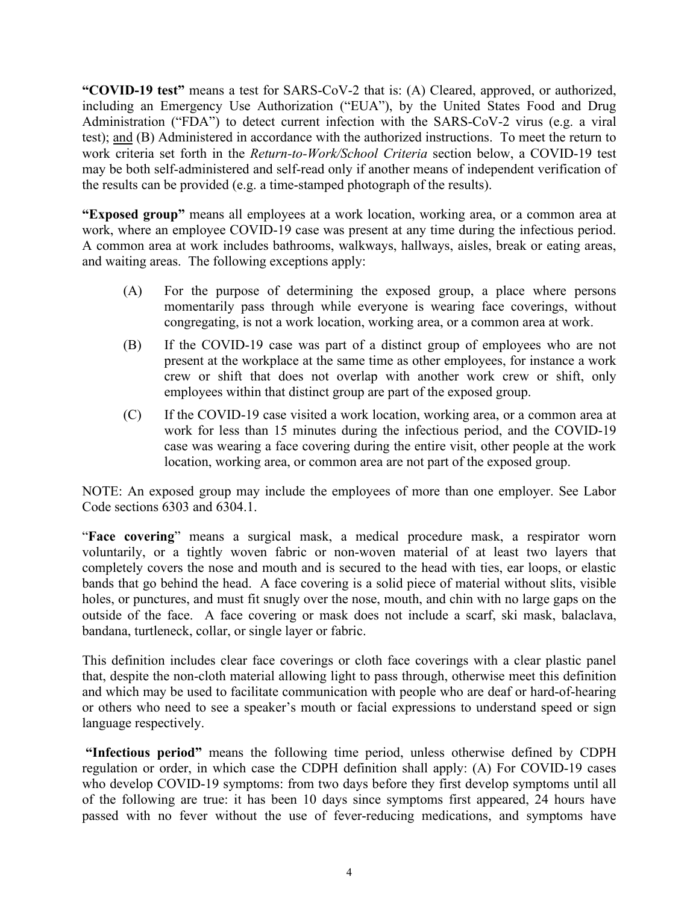**"COVID-19 test"** means a test for SARS-CoV-2 that is: (A) Cleared, approved, or authorized, including an Emergency Use Authorization ("EUA"), by the United States Food and Drug Administration ("FDA") to detect current infection with the SARS-CoV-2 virus (e.g. a viral test); and (B) Administered in accordance with the authorized instructions. To meet the return to work criteria set forth in the *Return-to-Work/School Criteria* section below, a COVID-19 test may be both self-administered and self-read only if another means of independent verification of the results can be provided (e.g. a time-stamped photograph of the results).

**"Exposed group"** means all employees at a work location, working area, or a common area at work, where an employee COVID-19 case was present at any time during the infectious period. A common area at work includes bathrooms, walkways, hallways, aisles, break or eating areas, and waiting areas. The following exceptions apply:

- (A) For the purpose of determining the exposed group, a place where persons momentarily pass through while everyone is wearing face coverings, without congregating, is not a work location, working area, or a common area at work.
- (B) If the COVID-19 case was part of a distinct group of employees who are not present at the workplace at the same time as other employees, for instance a work crew or shift that does not overlap with another work crew or shift, only employees within that distinct group are part of the exposed group.
- (C) If the COVID-19 case visited a work location, working area, or a common area at work for less than 15 minutes during the infectious period, and the COVID-19 case was wearing a face covering during the entire visit, other people at the work location, working area, or common area are not part of the exposed group.

NOTE: An exposed group may include the employees of more than one employer. See Labor Code sections 6303 and 6304.1.

"**Face covering**" means a surgical mask, a medical procedure mask, a respirator worn voluntarily, or a tightly woven fabric or non-woven material of at least two layers that completely covers the nose and mouth and is secured to the head with ties, ear loops, or elastic bands that go behind the head. A face covering is a solid piece of material without slits, visible holes, or punctures, and must fit snugly over the nose, mouth, and chin with no large gaps on the outside of the face. A face covering or mask does not include a scarf, ski mask, balaclava, bandana, turtleneck, collar, or single layer or fabric.

This definition includes clear face coverings or cloth face coverings with a clear plastic panel that, despite the non-cloth material allowing light to pass through, otherwise meet this definition and which may be used to facilitate communication with people who are deaf or hard-of-hearing or others who need to see a speaker's mouth or facial expressions to understand speed or sign language respectively.

 **"Infectious period"** means the following time period, unless otherwise defined by CDPH regulation or order, in which case the CDPH definition shall apply: (A) For COVID-19 cases who develop COVID-19 symptoms: from two days before they first develop symptoms until all of the following are true: it has been 10 days since symptoms first appeared, 24 hours have passed with no fever without the use of fever-reducing medications, and symptoms have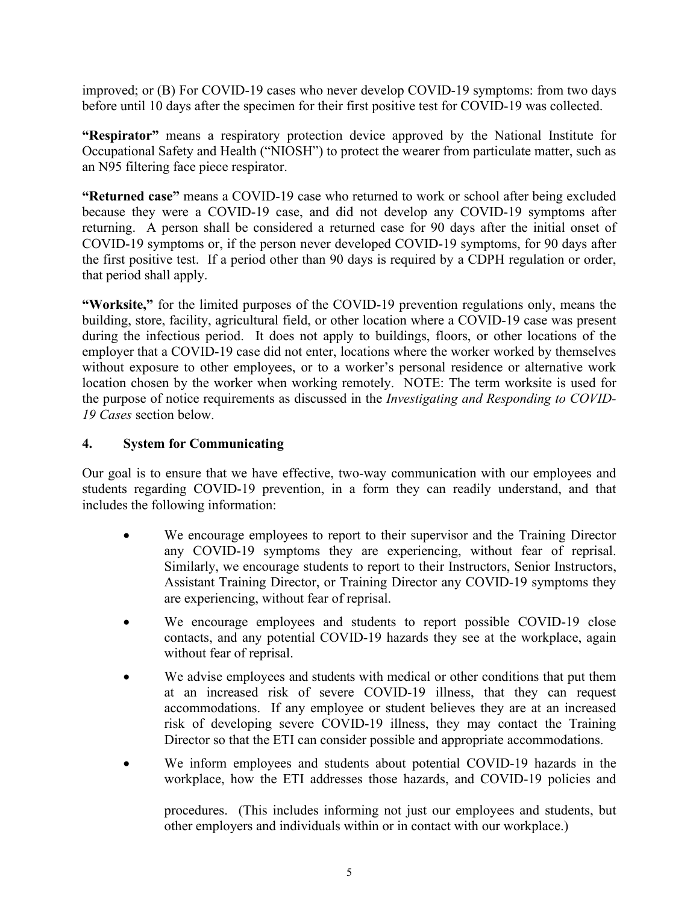improved; or (B) For COVID-19 cases who never develop COVID-19 symptoms: from two days before until 10 days after the specimen for their first positive test for COVID-19 was collected.

**"Respirator"** means a respiratory protection device approved by the National Institute for Occupational Safety and Health ("NIOSH") to protect the wearer from particulate matter, such as an N95 filtering face piece respirator.

**"Returned case"** means a COVID-19 case who returned to work or school after being excluded because they were a COVID-19 case, and did not develop any COVID-19 symptoms after returning. A person shall be considered a returned case for 90 days after the initial onset of COVID-19 symptoms or, if the person never developed COVID-19 symptoms, for 90 days after the first positive test. If a period other than 90 days is required by a CDPH regulation or order, that period shall apply.

**"Worksite,"** for the limited purposes of the COVID-19 prevention regulations only, means the building, store, facility, agricultural field, or other location where a COVID-19 case was present during the infectious period. It does not apply to buildings, floors, or other locations of the employer that a COVID-19 case did not enter, locations where the worker worked by themselves without exposure to other employees, or to a worker's personal residence or alternative work location chosen by the worker when working remotely. NOTE: The term worksite is used for the purpose of notice requirements as discussed in the *Investigating and Responding to COVID-19 Cases* section below.

#### **4. System for Communicating**

Our goal is to ensure that we have effective, two-way communication with our employees and students regarding COVID-19 prevention, in a form they can readily understand, and that includes the following information:

- We encourage employees to report to their supervisor and the Training Director any COVID-19 symptoms they are experiencing, without fear of reprisal. Similarly, we encourage students to report to their Instructors, Senior Instructors, Assistant Training Director, or Training Director any COVID-19 symptoms they are experiencing, without fear of reprisal.
- We encourage employees and students to report possible COVID-19 close contacts, and any potential COVID-19 hazards they see at the workplace, again without fear of reprisal.
- We advise employees and students with medical or other conditions that put them at an increased risk of severe COVID-19 illness, that they can request accommodations. If any employee or student believes they are at an increased risk of developing severe COVID-19 illness, they may contact the Training Director so that the ETI can consider possible and appropriate accommodations.
- We inform employees and students about potential COVID-19 hazards in the workplace, how the ETI addresses those hazards, and COVID-19 policies and

procedures. (This includes informing not just our employees and students, but other employers and individuals within or in contact with our workplace.)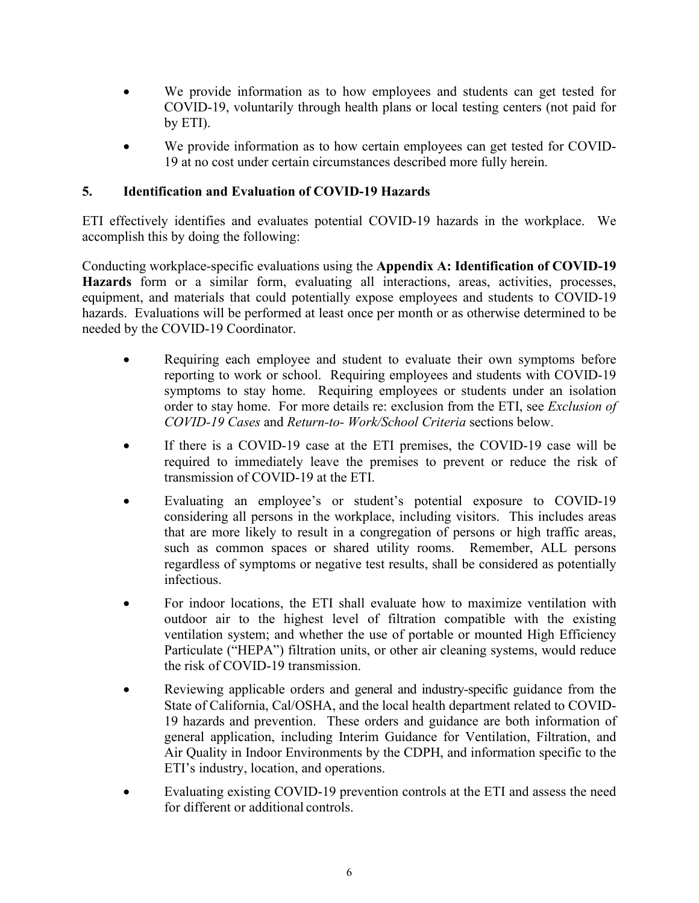- We provide information as to how employees and students can get tested for COVID-19, voluntarily through health plans or local testing centers (not paid for by ETI).
- We provide information as to how certain employees can get tested for COVID-19 at no cost under certain circumstances described more fully herein.

#### **5. Identification and Evaluation of COVID-19 Hazards**

ETI effectively identifies and evaluates potential COVID-19 hazards in the workplace. We accomplish this by doing the following:

Conducting workplace-specific evaluations using the **Appendix A: Identification of COVID-19 Hazards** form or a similar form, evaluating all interactions, areas, activities, processes, equipment, and materials that could potentially expose employees and students to COVID-19 hazards. Evaluations will be performed at least once per month or as otherwise determined to be needed by the COVID-19 Coordinator.

- Requiring each employee and student to evaluate their own symptoms before reporting to work or school. Requiring employees and students with COVID-19 symptoms to stay home. Requiring employees or students under an isolation order to stay home. For more details re: exclusion from the ETI, see *Exclusion of COVID-19 Cases* and *Return-to- Work/School Criteria* sections below.
- If there is a COVID-19 case at the ETI premises, the COVID-19 case will be required to immediately leave the premises to prevent or reduce the risk of transmission of COVID-19 at the ETI.
- Evaluating an employee's or student's potential exposure to COVID-19 considering all persons in the workplace, including visitors. This includes areas that are more likely to result in a congregation of persons or high traffic areas, such as common spaces or shared utility rooms. Remember, ALL persons regardless of symptoms or negative test results, shall be considered as potentially infectious.
- For indoor locations, the ETI shall evaluate how to maximize ventilation with outdoor air to the highest level of filtration compatible with the existing ventilation system; and whether the use of portable or mounted High Efficiency Particulate ("HEPA") filtration units, or other air cleaning systems, would reduce the risk of COVID-19 transmission.
- Reviewing applicable orders and general and industry-specific guidance from the State of California, Cal/OSHA, and the local health department related to COVID-19 hazards and prevention. These orders and guidance are both information of general application, including Interim Guidance for Ventilation, Filtration, and Air Quality in Indoor Environments by the CDPH, and information specific to the ETI's industry, location, and operations.
- Evaluating existing COVID-19 prevention controls at the ETI and assess the need for different or additional controls.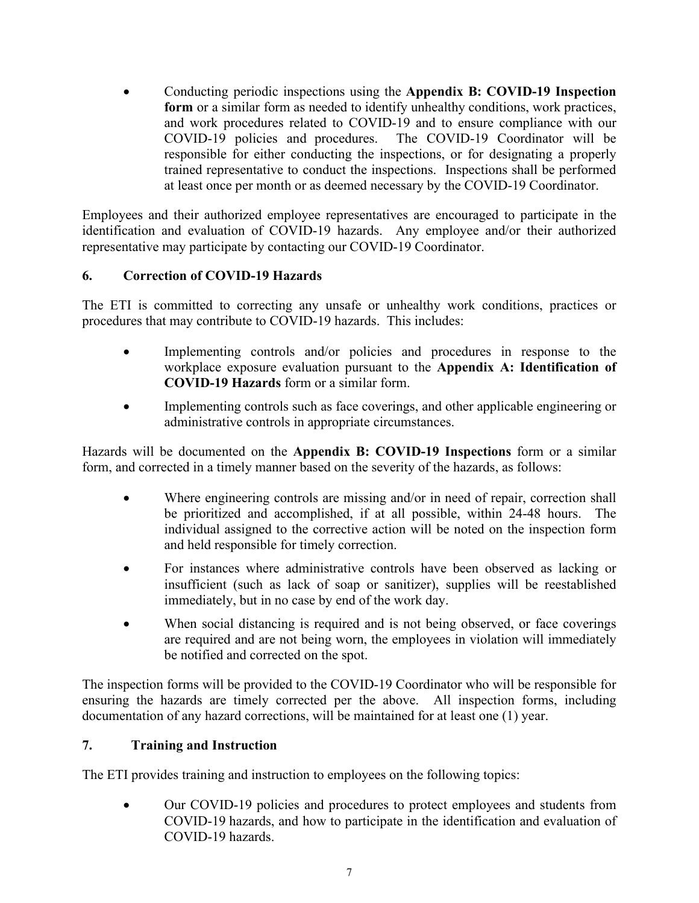• Conducting periodic inspections using the **Appendix B: COVID-19 Inspection form** or a similar form as needed to identify unhealthy conditions, work practices, and work procedures related to COVID-19 and to ensure compliance with our COVID-19 policies and procedures. The COVID-19 Coordinator will be responsible for either conducting the inspections, or for designating a properly trained representative to conduct the inspections. Inspections shall be performed at least once per month or as deemed necessary by the COVID-19 Coordinator.

Employees and their authorized employee representatives are encouraged to participate in the identification and evaluation of COVID-19 hazards. Any employee and/or their authorized representative may participate by contacting our COVID-19 Coordinator.

#### **6. Correction of COVID-19 Hazards**

The ETI is committed to correcting any unsafe or unhealthy work conditions, practices or procedures that may contribute to COVID-19 hazards. This includes:

- Implementing controls and/or policies and procedures in response to the workplace exposure evaluation pursuant to the **Appendix A: Identification of COVID-19 Hazards** form or a similar form.
- Implementing controls such as face coverings, and other applicable engineering or administrative controls in appropriate circumstances.

Hazards will be documented on the **Appendix B: COVID-19 Inspections** form or a similar form, and corrected in a timely manner based on the severity of the hazards, as follows:

- Where engineering controls are missing and/or in need of repair, correction shall be prioritized and accomplished, if at all possible, within 24-48 hours. The individual assigned to the corrective action will be noted on the inspection form and held responsible for timely correction.
- For instances where administrative controls have been observed as lacking or insufficient (such as lack of soap or sanitizer), supplies will be reestablished immediately, but in no case by end of the work day.
- When social distancing is required and is not being observed, or face coverings are required and are not being worn, the employees in violation will immediately be notified and corrected on the spot.

The inspection forms will be provided to the COVID-19 Coordinator who will be responsible for ensuring the hazards are timely corrected per the above. All inspection forms, including documentation of any hazard corrections, will be maintained for at least one (1) year.

## **7. Training and Instruction**

The ETI provides training and instruction to employees on the following topics:

• Our COVID-19 policies and procedures to protect employees and students from COVID-19 hazards, and how to participate in the identification and evaluation of COVID-19 hazards.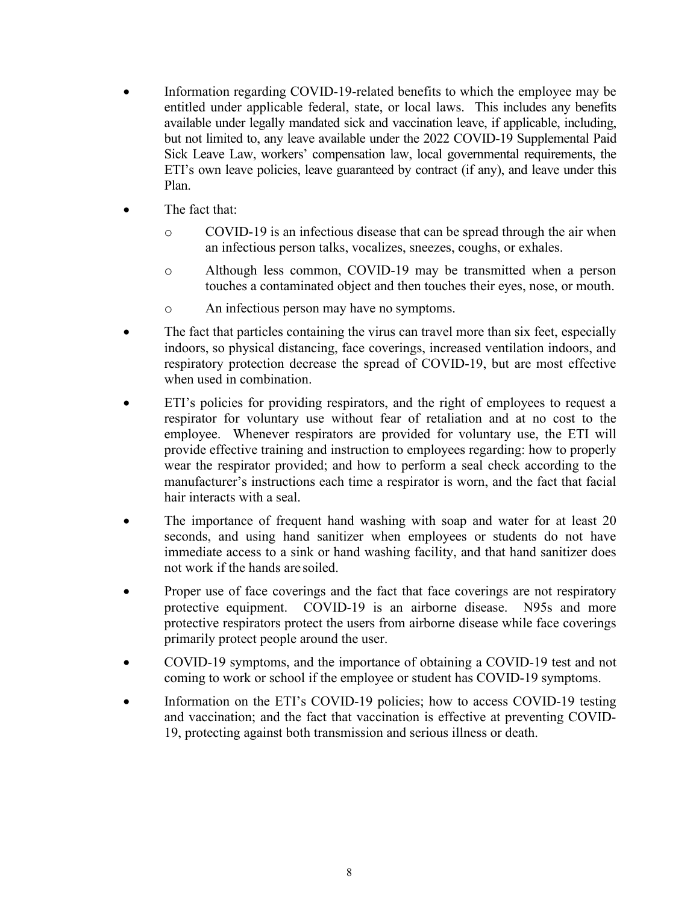- Information regarding COVID-19-related benefits to which the employee may be entitled under applicable federal, state, or local laws. This includes any benefits available under legally mandated sick and vaccination leave, if applicable, including, but not limited to, any leave available under the 2022 COVID-19 Supplemental Paid Sick Leave Law, workers' compensation law, local governmental requirements, the ETI's own leave policies, leave guaranteed by contract (if any), and leave under this Plan.
- The fact that:
	- o COVID-19 is an infectious disease that can be spread through the air when an infectious person talks, vocalizes, sneezes, coughs, or exhales.
	- o Although less common, COVID-19 may be transmitted when a person touches a contaminated object and then touches their eyes, nose, or mouth.
	- o An infectious person may have no symptoms.
- The fact that particles containing the virus can travel more than six feet, especially indoors, so physical distancing, face coverings, increased ventilation indoors, and respiratory protection decrease the spread of COVID-19, but are most effective when used in combination.
- ETI's policies for providing respirators, and the right of employees to request a respirator for voluntary use without fear of retaliation and at no cost to the employee. Whenever respirators are provided for voluntary use, the ETI will provide effective training and instruction to employees regarding: how to properly wear the respirator provided; and how to perform a seal check according to the manufacturer's instructions each time a respirator is worn, and the fact that facial hair interacts with a seal.
- The importance of frequent hand washing with soap and water for at least 20 seconds, and using hand sanitizer when employees or students do not have immediate access to a sink or hand washing facility, and that hand sanitizer does not work if the hands are soiled.
- Proper use of face coverings and the fact that face coverings are not respiratory protective equipment. COVID-19 is an airborne disease. N95s and more protective respirators protect the users from airborne disease while face coverings primarily protect people around the user.
- COVID-19 symptoms, and the importance of obtaining a COVID-19 test and not coming to work or school if the employee or student has COVID-19 symptoms.
- Information on the ETI's COVID-19 policies; how to access COVID-19 testing and vaccination; and the fact that vaccination is effective at preventing COVID-19, protecting against both transmission and serious illness or death.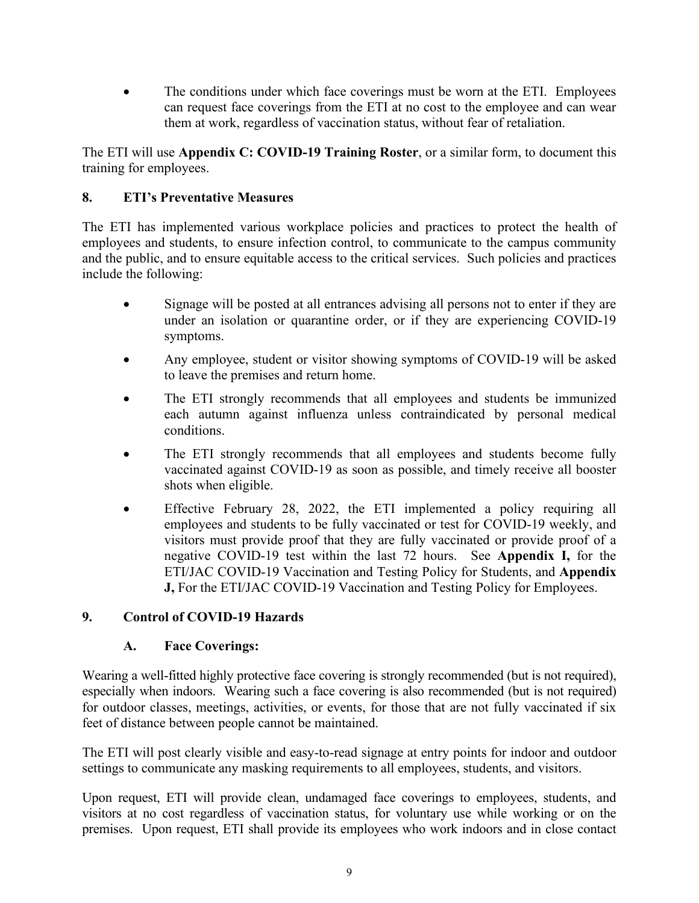The conditions under which face coverings must be worn at the ETI. Employees can request face coverings from the ETI at no cost to the employee and can wear them at work, regardless of vaccination status, without fear of retaliation.

The ETI will use **Appendix C: COVID-19 Training Roster**, or a similar form, to document this training for employees.

#### **8. ETI's Preventative Measures**

The ETI has implemented various workplace policies and practices to protect the health of employees and students, to ensure infection control, to communicate to the campus community and the public, and to ensure equitable access to the critical services. Such policies and practices include the following:

- Signage will be posted at all entrances advising all persons not to enter if they are under an isolation or quarantine order, or if they are experiencing COVID-19 symptoms.
- Any employee, student or visitor showing symptoms of COVID-19 will be asked to leave the premises and return home.
- The ETI strongly recommends that all employees and students be immunized each autumn against influenza unless contraindicated by personal medical conditions.
- The ETI strongly recommends that all employees and students become fully vaccinated against COVID-19 as soon as possible, and timely receive all booster shots when eligible.
- Effective February 28, 2022, the ETI implemented a policy requiring all employees and students to be fully vaccinated or test for COVID-19 weekly, and visitors must provide proof that they are fully vaccinated or provide proof of a negative COVID-19 test within the last 72 hours. See **Appendix I,** for the ETI/JAC COVID-19 Vaccination and Testing Policy for Students, and **Appendix J,** For the ETI/JAC COVID-19 Vaccination and Testing Policy for Employees.

## **9. Control of COVID-19 Hazards**

#### **A. Face Coverings:**

Wearing a well-fitted highly protective face covering is strongly recommended (but is not required), especially when indoors. Wearing such a face covering is also recommended (but is not required) for outdoor classes, meetings, activities, or events, for those that are not fully vaccinated if six feet of distance between people cannot be maintained.

The ETI will post clearly visible and easy-to-read signage at entry points for indoor and outdoor settings to communicate any masking requirements to all employees, students, and visitors.

Upon request, ETI will provide clean, undamaged face coverings to employees, students, and visitors at no cost regardless of vaccination status, for voluntary use while working or on the premises. Upon request, ETI shall provide its employees who work indoors and in close contact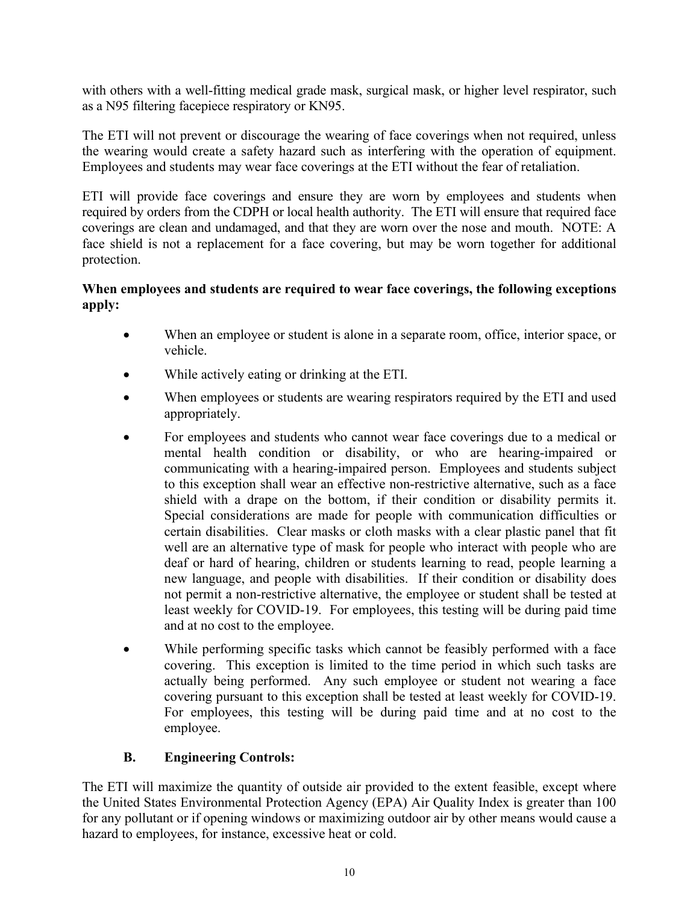with others with a well-fitting medical grade mask, surgical mask, or higher level respirator, such as a N95 filtering facepiece respiratory or KN95.

The ETI will not prevent or discourage the wearing of face coverings when not required, unless the wearing would create a safety hazard such as interfering with the operation of equipment. Employees and students may wear face coverings at the ETI without the fear of retaliation.

ETI will provide face coverings and ensure they are worn by employees and students when required by orders from the CDPH or local health authority. The ETI will ensure that required face coverings are clean and undamaged, and that they are worn over the nose and mouth. NOTE: A face shield is not a replacement for a face covering, but may be worn together for additional protection.

#### **When employees and students are required to wear face coverings, the following exceptions apply:**

- When an employee or student is alone in a separate room, office, interior space, or vehicle.
- While actively eating or drinking at the ETI.
- When employees or students are wearing respirators required by the ETI and used appropriately.
- For employees and students who cannot wear face coverings due to a medical or mental health condition or disability, or who are hearing-impaired or communicating with a hearing-impaired person. Employees and students subject to this exception shall wear an effective non-restrictive alternative, such as a face shield with a drape on the bottom, if their condition or disability permits it. Special considerations are made for people with communication difficulties or certain disabilities. Clear masks or cloth masks with a clear plastic panel that fit well are an alternative type of mask for people who interact with people who are deaf or hard of hearing, children or students learning to read, people learning a new language, and people with disabilities. If their condition or disability does not permit a non-restrictive alternative, the employee or student shall be tested at least weekly for COVID-19. For employees, this testing will be during paid time and at no cost to the employee.
- While performing specific tasks which cannot be feasibly performed with a face covering. This exception is limited to the time period in which such tasks are actually being performed. Any such employee or student not wearing a face covering pursuant to this exception shall be tested at least weekly for COVID-19. For employees, this testing will be during paid time and at no cost to the employee.

## **B. Engineering Controls:**

The ETI will maximize the quantity of outside air provided to the extent feasible, except where the United States Environmental Protection Agency (EPA) Air Quality Index is greater than 100 for any pollutant or if opening windows or maximizing outdoor air by other means would cause a hazard to employees, for instance, excessive heat or cold.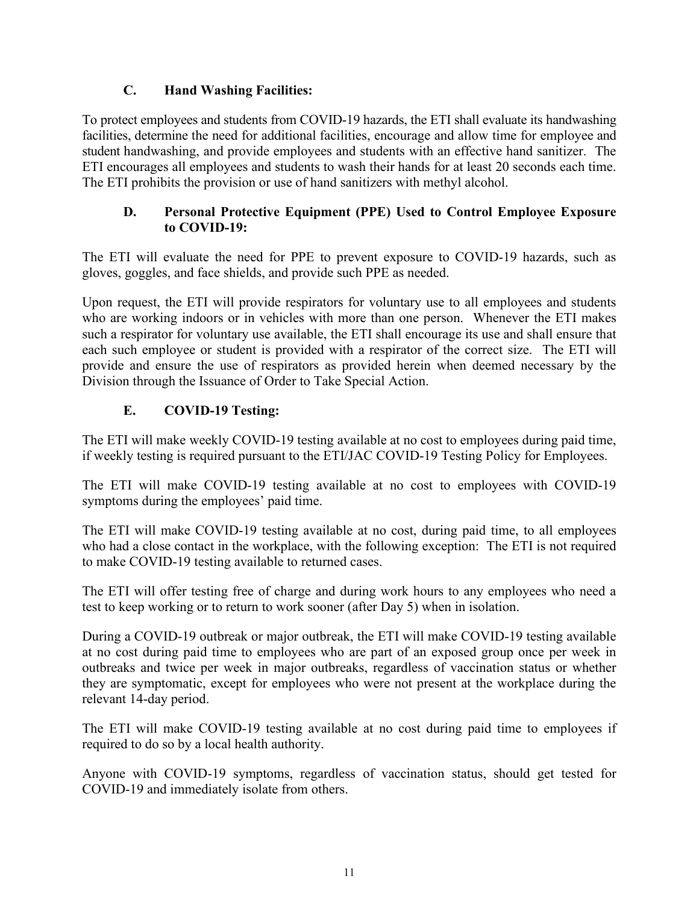#### **C. Hand Washing Facilities:**

To protect employees and students from COVID-19 hazards, the ETI shall evaluate its handwashing facilities, determine the need for additional facilities, encourage and allow time for employee and student handwashing, and provide employees and students with an effective hand sanitizer. The ETI encourages all employees and students to wash their hands for at least 20 seconds each time. The ETI prohibits the provision or use of hand sanitizers with methyl alcohol.

#### **D. Personal Protective Equipment (PPE) Used to Control Employee Exposure to COVID-19:**

The ETI will evaluate the need for PPE to prevent exposure to COVID-19 hazards, such as gloves, goggles, and face shields, and provide such PPE as needed.

Upon request, the ETI will provide respirators for voluntary use to all employees and students who are working indoors or in vehicles with more than one person. Whenever the ETI makes such a respirator for voluntary use available, the ETI shall encourage its use and shall ensure that each such employee or student is provided with a respirator of the correct size. The ETI will provide and ensure the use of respirators as provided herein when deemed necessary by the Division through the Issuance of Order to Take Special Action.

## **E. COVID-19 Testing:**

The ETI will make weekly COVID-19 testing available at no cost to employees during paid time, if weekly testing is required pursuant to the ETI/JAC COVID-19 Testing Policy for Employees.

The ETI will make COVID-19 testing available at no cost to employees with COVID-19 symptoms during the employees' paid time.

The ETI will make COVID-19 testing available at no cost, during paid time, to all employees who had a close contact in the workplace, with the following exception: The ETI is not required to make COVID-19 testing available to returned cases.

The ETI will offer testing free of charge and during work hours to any employees who need a test to keep working or to return to work sooner (after Day 5) when in isolation.

During a COVID-19 outbreak or major outbreak, the ETI will make COVID-19 testing available at no cost during paid time to employees who are part of an exposed group once per week in outbreaks and twice per week in major outbreaks, regardless of vaccination status or whether they are symptomatic, except for employees who were not present at the workplace during the relevant 14-day period.

The ETI will make COVID-19 testing available at no cost during paid time to employees if required to do so by a local health authority.

Anyone with COVID-19 symptoms, regardless of vaccination status, should get tested for COVID-19 and immediately isolate from others.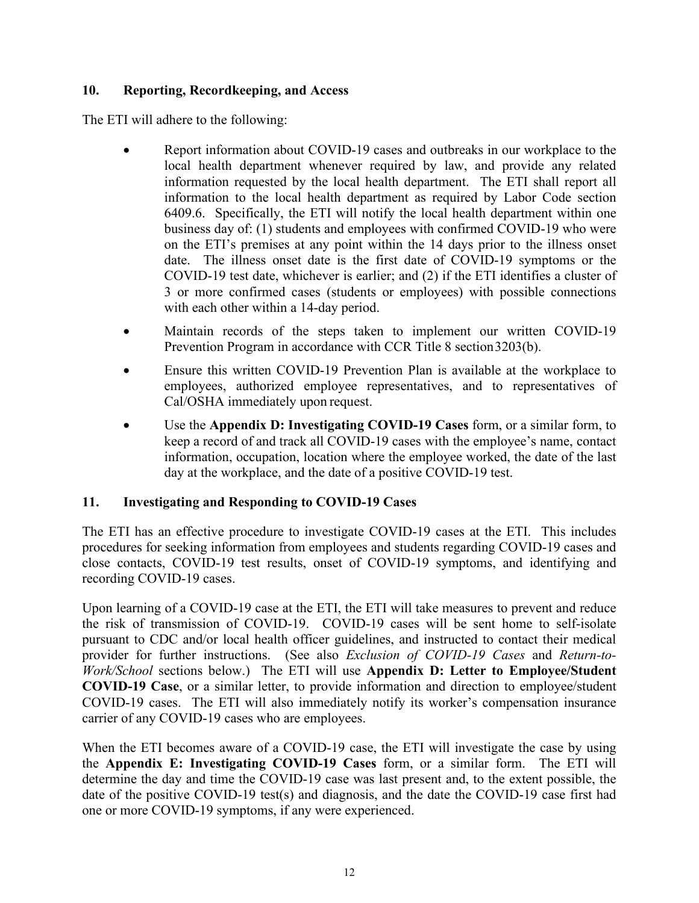#### **10. Reporting, Recordkeeping, and Access**

The ETI will adhere to the following:

- Report information about COVID-19 cases and outbreaks in our workplace to the local health department whenever required by law, and provide any related information requested by the local health department. The ETI shall report all information to the local health department as required by Labor Code section 6409.6. Specifically, the ETI will notify the local health department within one business day of: (1) students and employees with confirmed COVID-19 who were on the ETI's premises at any point within the 14 days prior to the illness onset date. The illness onset date is the first date of COVID-19 symptoms or the COVID-19 test date, whichever is earlier; and (2) if the ETI identifies a cluster of 3 or more confirmed cases (students or employees) with possible connections with each other within a 14-day period.
- Maintain records of the steps taken to implement our written COVID-19 Prevention Program in accordance with CCR Title 8 section 3203(b).
- Ensure this written COVID-19 Prevention Plan is available at the workplace to employees, authorized employee representatives, and to representatives of Cal/OSHA immediately upon request.
- Use the **Appendix D: Investigating COVID-19 Cases** form, or a similar form, to keep a record of and track all COVID-19 cases with the employee's name, contact information, occupation, location where the employee worked, the date of the last day at the workplace, and the date of a positive COVID-19 test.

#### **11. Investigating and Responding to COVID-19 Cases**

The ETI has an effective procedure to investigate COVID-19 cases at the ETI. This includes procedures for seeking information from employees and students regarding COVID-19 cases and close contacts, COVID-19 test results, onset of COVID-19 symptoms, and identifying and recording COVID-19 cases.

Upon learning of a COVID-19 case at the ETI, the ETI will take measures to prevent and reduce the risk of transmission of COVID-19. COVID-19 cases will be sent home to self-isolate pursuant to CDC and/or local health officer guidelines, and instructed to contact their medical provider for further instructions. (See also *Exclusion of COVID-19 Cases* and *Return-to-Work/School* sections below.) The ETI will use **Appendix D: Letter to Employee/Student COVID-19 Case**, or a similar letter, to provide information and direction to employee/student COVID-19 cases. The ETI will also immediately notify its worker's compensation insurance carrier of any COVID-19 cases who are employees.

When the ETI becomes aware of a COVID-19 case, the ETI will investigate the case by using the **Appendix E: Investigating COVID-19 Cases** form, or a similar form. The ETI will determine the day and time the COVID-19 case was last present and, to the extent possible, the date of the positive COVID-19 test(s) and diagnosis, and the date the COVID-19 case first had one or more COVID-19 symptoms, if any were experienced.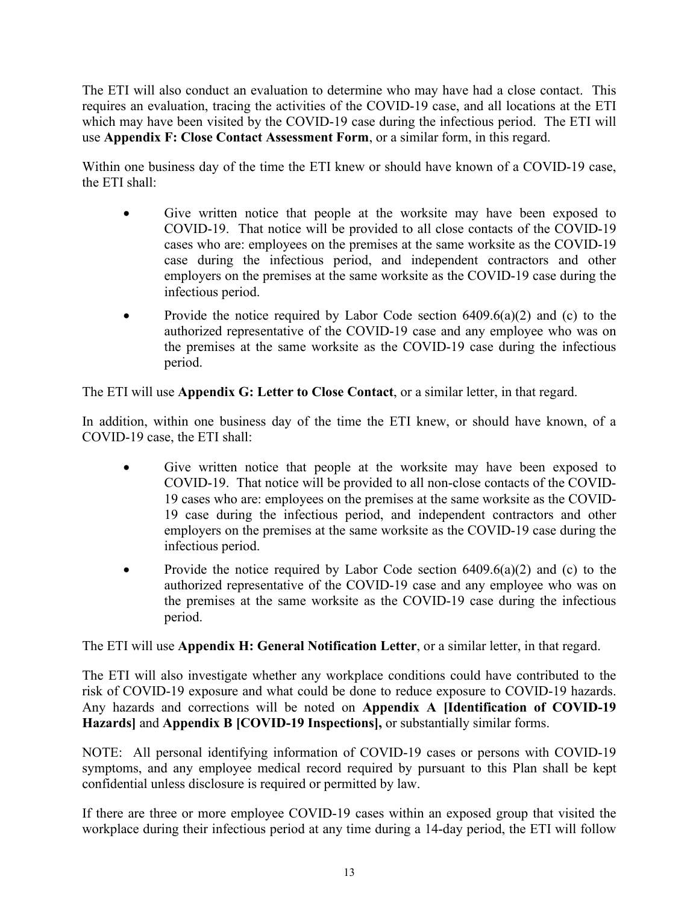The ETI will also conduct an evaluation to determine who may have had a close contact. This requires an evaluation, tracing the activities of the COVID-19 case, and all locations at the ETI which may have been visited by the COVID-19 case during the infectious period. The ETI will use **Appendix F: Close Contact Assessment Form**, or a similar form, in this regard.

Within one business day of the time the ETI knew or should have known of a COVID-19 case, the ETI shall:

- Give written notice that people at the worksite may have been exposed to COVID-19. That notice will be provided to all close contacts of the COVID-19 cases who are: employees on the premises at the same worksite as the COVID-19 case during the infectious period, and independent contractors and other employers on the premises at the same worksite as the COVID-19 case during the infectious period.
- Provide the notice required by Labor Code section  $6409.6(a)(2)$  and (c) to the authorized representative of the COVID-19 case and any employee who was on the premises at the same worksite as the COVID-19 case during the infectious period.

The ETI will use **Appendix G: Letter to Close Contact**, or a similar letter, in that regard.

In addition, within one business day of the time the ETI knew, or should have known, of a COVID-19 case, the ETI shall:

- Give written notice that people at the worksite may have been exposed to COVID-19. That notice will be provided to all non-close contacts of the COVID-19 cases who are: employees on the premises at the same worksite as the COVID-19 case during the infectious period, and independent contractors and other employers on the premises at the same worksite as the COVID-19 case during the infectious period.
- Provide the notice required by Labor Code section  $6409.6(a)(2)$  and (c) to the authorized representative of the COVID-19 case and any employee who was on the premises at the same worksite as the COVID-19 case during the infectious period.

The ETI will use **Appendix H: General Notification Letter**, or a similar letter, in that regard.

The ETI will also investigate whether any workplace conditions could have contributed to the risk of COVID-19 exposure and what could be done to reduce exposure to COVID-19 hazards. Any hazards and corrections will be noted on **Appendix A [Identification of COVID-19 Hazards]** and **Appendix B [COVID-19 Inspections],** or substantially similar forms.

NOTE: All personal identifying information of COVID-19 cases or persons with COVID-19 symptoms, and any employee medical record required by pursuant to this Plan shall be kept confidential unless disclosure is required or permitted by law.

If there are three or more employee COVID-19 cases within an exposed group that visited the workplace during their infectious period at any time during a 14-day period, the ETI will follow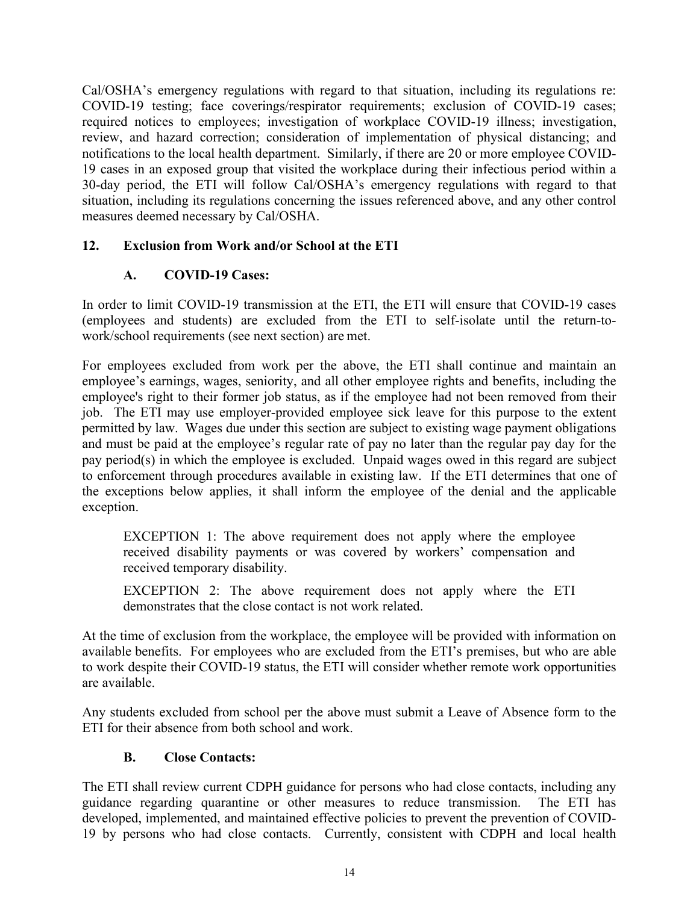Cal/OSHA's emergency regulations with regard to that situation, including its regulations re: COVID-19 testing; face coverings/respirator requirements; exclusion of COVID-19 cases; required notices to employees; investigation of workplace COVID-19 illness; investigation, review, and hazard correction; consideration of implementation of physical distancing; and notifications to the local health department. Similarly, if there are 20 or more employee COVID-19 cases in an exposed group that visited the workplace during their infectious period within a 30-day period, the ETI will follow Cal/OSHA's emergency regulations with regard to that situation, including its regulations concerning the issues referenced above, and any other control measures deemed necessary by Cal/OSHA.

#### **12. Exclusion from Work and/or School at the ETI**

#### **A. COVID-19 Cases:**

In order to limit COVID-19 transmission at the ETI, the ETI will ensure that COVID-19 cases (employees and students) are excluded from the ETI to self-isolate until the return-towork/school requirements (see next section) are met.

For employees excluded from work per the above, the ETI shall continue and maintain an employee's earnings, wages, seniority, and all other employee rights and benefits, including the employee's right to their former job status, as if the employee had not been removed from their job. The ETI may use employer-provided employee sick leave for this purpose to the extent permitted by law. Wages due under this section are subject to existing wage payment obligations and must be paid at the employee's regular rate of pay no later than the regular pay day for the pay period(s) in which the employee is excluded. Unpaid wages owed in this regard are subject to enforcement through procedures available in existing law. If the ETI determines that one of the exceptions below applies, it shall inform the employee of the denial and the applicable exception.

EXCEPTION 1: The above requirement does not apply where the employee received disability payments or was covered by workers' compensation and received temporary disability.

EXCEPTION 2: The above requirement does not apply where the ETI demonstrates that the close contact is not work related.

At the time of exclusion from the workplace, the employee will be provided with information on available benefits. For employees who are excluded from the ETI's premises, but who are able to work despite their COVID-19 status, the ETI will consider whether remote work opportunities are available.

Any students excluded from school per the above must submit a Leave of Absence form to the ETI for their absence from both school and work.

#### **B. Close Contacts:**

The ETI shall review current CDPH guidance for persons who had close contacts, including any guidance regarding quarantine or other measures to reduce transmission. The ETI has developed, implemented, and maintained effective policies to prevent the prevention of COVID-19 by persons who had close contacts. Currently, consistent with CDPH and local health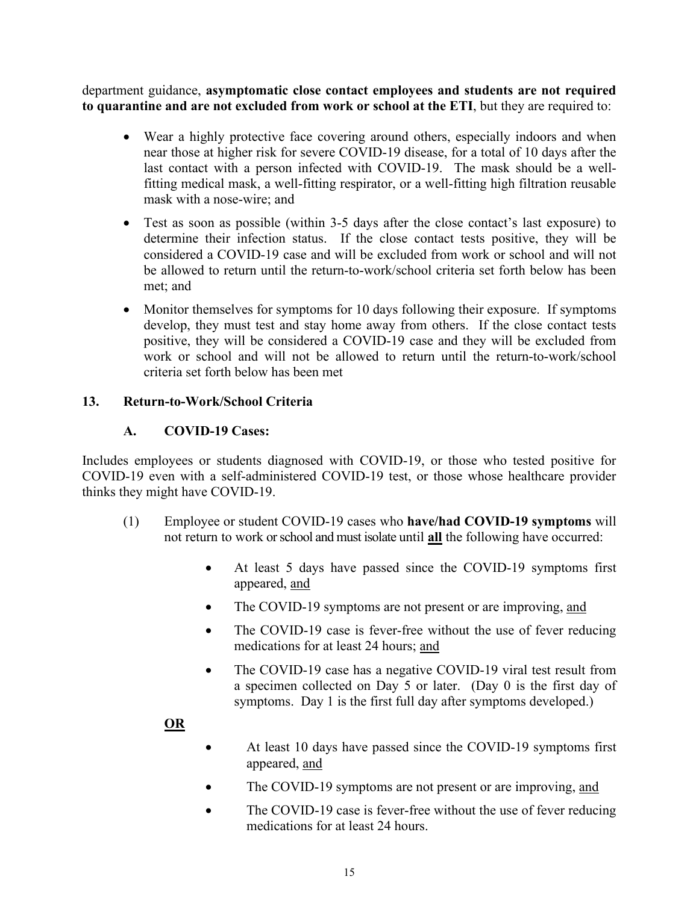department guidance, **asymptomatic close contact employees and students are not required to quarantine and are not excluded from work or school at the ETI**, but they are required to:

- Wear a highly protective face covering around others, especially indoors and when near those at higher risk for severe COVID-19 disease, for a total of 10 days after the last contact with a person infected with COVID-19. The mask should be a wellfitting medical mask, a well-fitting respirator, or a well-fitting high filtration reusable mask with a nose-wire; and
- Test as soon as possible (within 3-5 days after the close contact's last exposure) to determine their infection status. If the close contact tests positive, they will be considered a COVID-19 case and will be excluded from work or school and will not be allowed to return until the return-to-work/school criteria set forth below has been met; and
- Monitor themselves for symptoms for 10 days following their exposure. If symptoms develop, they must test and stay home away from others. If the close contact tests positive, they will be considered a COVID-19 case and they will be excluded from work or school and will not be allowed to return until the return-to-work/school criteria set forth below has been met

#### **13. Return-to-Work/School Criteria**

#### **A. COVID-19 Cases:**

Includes employees or students diagnosed with COVID-19, or those who tested positive for COVID-19 even with a self-administered COVID-19 test, or those whose healthcare provider thinks they might have COVID-19.

- (1) Employee or student COVID-19 cases who **have/had COVID-19 symptoms** will not return to work or school and must isolate until **all** the following have occurred:
	- At least 5 days have passed since the COVID-19 symptoms first appeared, and
	- The COVID-19 symptoms are not present or are improving, and
	- The COVID-19 case is fever-free without the use of fever reducing medications for at least 24 hours; and
	- The COVID-19 case has a negative COVID-19 viral test result from a specimen collected on Day 5 or later. (Day 0 is the first day of symptoms. Day 1 is the first full day after symptoms developed.)

## **OR**

- At least 10 days have passed since the COVID-19 symptoms first appeared, and
- The COVID-19 symptoms are not present or are improving, and
- The COVID-19 case is fever-free without the use of fever reducing medications for at least 24 hours.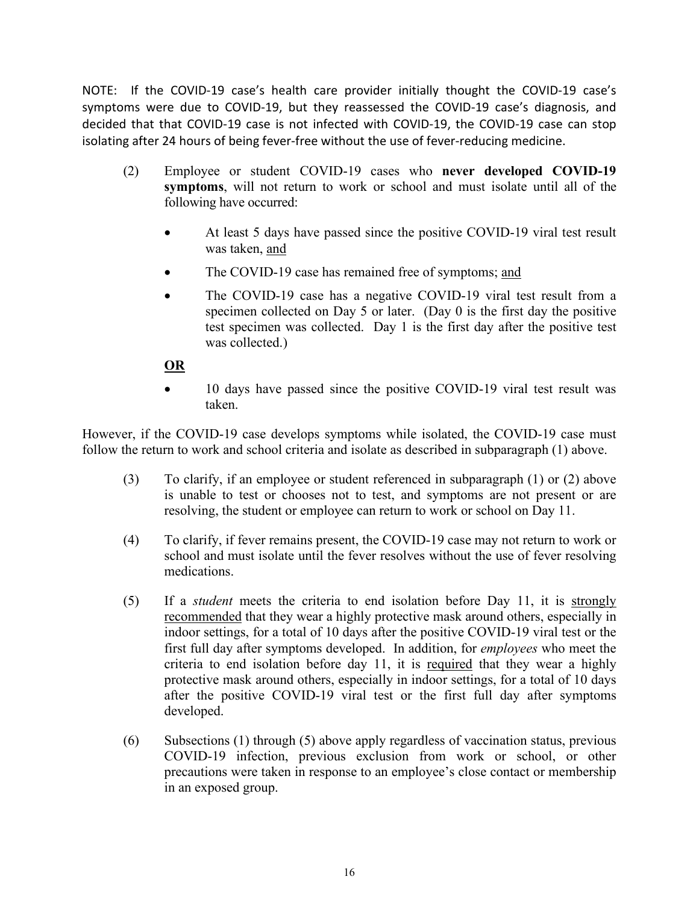NOTE: If the COVID-19 case's health care provider initially thought the COVID-19 case's symptoms were due to COVID-19, but they reassessed the COVID-19 case's diagnosis, and decided that that COVID-19 case is not infected with COVID-19, the COVID-19 case can stop isolating after 24 hours of being fever-free without the use of fever-reducing medicine.

- (2) Employee or student COVID-19 cases who **never developed COVID-19 symptoms**, will not return to work or school and must isolate until all of the following have occurred:
	- At least 5 days have passed since the positive COVID-19 viral test result was taken, and
	- The COVID-19 case has remained free of symptoms; and
	- The COVID-19 case has a negative COVID-19 viral test result from a specimen collected on Day 5 or later. (Day 0 is the first day the positive test specimen was collected. Day 1 is the first day after the positive test was collected.)

#### **OR**

• 10 days have passed since the positive COVID-19 viral test result was taken.

However, if the COVID-19 case develops symptoms while isolated, the COVID-19 case must follow the return to work and school criteria and isolate as described in subparagraph (1) above.

- (3) To clarify, if an employee or student referenced in subparagraph (1) or (2) above is unable to test or chooses not to test, and symptoms are not present or are resolving, the student or employee can return to work or school on Day 11.
- (4) To clarify, if fever remains present, the COVID-19 case may not return to work or school and must isolate until the fever resolves without the use of fever resolving medications.
- (5) If a *student* meets the criteria to end isolation before Day 11, it is strongly recommended that they wear a highly protective mask around others, especially in indoor settings, for a total of 10 days after the positive COVID-19 viral test or the first full day after symptoms developed. In addition, for *employees* who meet the criteria to end isolation before day 11, it is required that they wear a highly protective mask around others, especially in indoor settings, for a total of 10 days after the positive COVID-19 viral test or the first full day after symptoms developed.
- (6) Subsections (1) through (5) above apply regardless of vaccination status, previous COVID-19 infection, previous exclusion from work or school, or other precautions were taken in response to an employee's close contact or membership in an exposed group.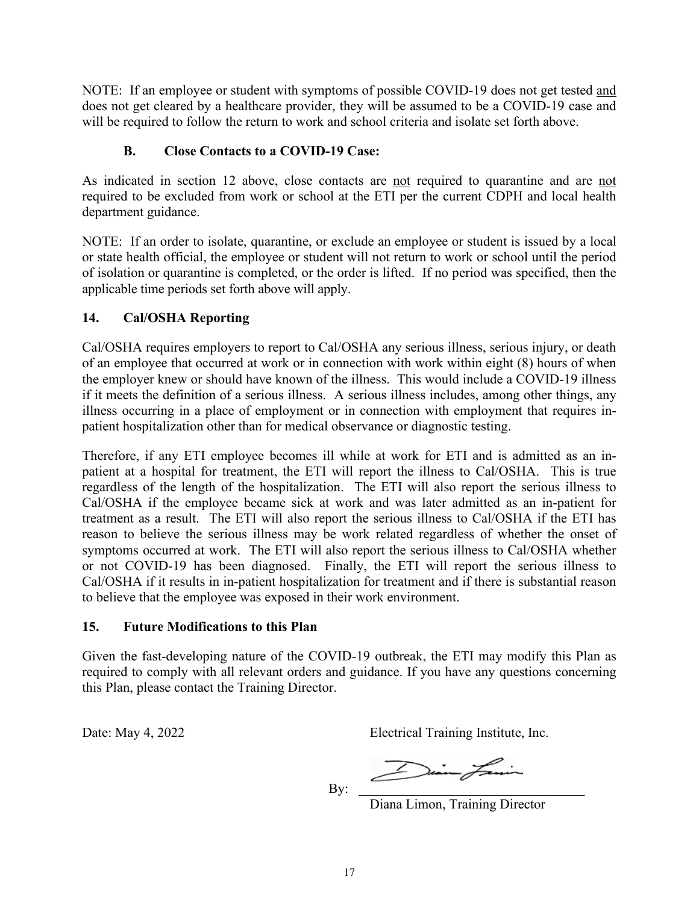NOTE: If an employee or student with symptoms of possible COVID-19 does not get tested and does not get cleared by a healthcare provider, they will be assumed to be a COVID-19 case and will be required to follow the return to work and school criteria and isolate set forth above.

#### **B. Close Contacts to a COVID-19 Case:**

As indicated in section 12 above, close contacts are not required to quarantine and are not required to be excluded from work or school at the ETI per the current CDPH and local health department guidance.

NOTE: If an order to isolate, quarantine, or exclude an employee or student is issued by a local or state health official, the employee or student will not return to work or school until the period of isolation or quarantine is completed, or the order is lifted. If no period was specified, then the applicable time periods set forth above will apply.

#### **14. Cal/OSHA Reporting**

Cal/OSHA requires employers to report to Cal/OSHA any serious illness, serious injury, or death of an employee that occurred at work or in connection with work within eight (8) hours of when the employer knew or should have known of the illness. This would include a COVID-19 illness if it meets the definition of a serious illness. A serious illness includes, among other things, any illness occurring in a place of employment or in connection with employment that requires inpatient hospitalization other than for medical observance or diagnostic testing.

Therefore, if any ETI employee becomes ill while at work for ETI and is admitted as an inpatient at a hospital for treatment, the ETI will report the illness to Cal/OSHA. This is true regardless of the length of the hospitalization. The ETI will also report the serious illness to Cal/OSHA if the employee became sick at work and was later admitted as an in-patient for treatment as a result. The ETI will also report the serious illness to Cal/OSHA if the ETI has reason to believe the serious illness may be work related regardless of whether the onset of symptoms occurred at work. The ETI will also report the serious illness to Cal/OSHA whether or not COVID-19 has been diagnosed. Finally, the ETI will report the serious illness to Cal/OSHA if it results in in-patient hospitalization for treatment and if there is substantial reason to believe that the employee was exposed in their work environment.

## **15. Future Modifications to this Plan**

Given the fast-developing nature of the COVID-19 outbreak, the ETI may modify this Plan as required to comply with all relevant orders and guidance. If you have any questions concerning this Plan, please contact the Training Director.

Date: May 4, 2022 Electrical Training Institute, Inc.

By: \_\_\_\_\_\_\_\_\_\_\_\_\_\_\_\_\_\_\_\_\_\_\_\_\_\_\_\_\_\_\_\_\_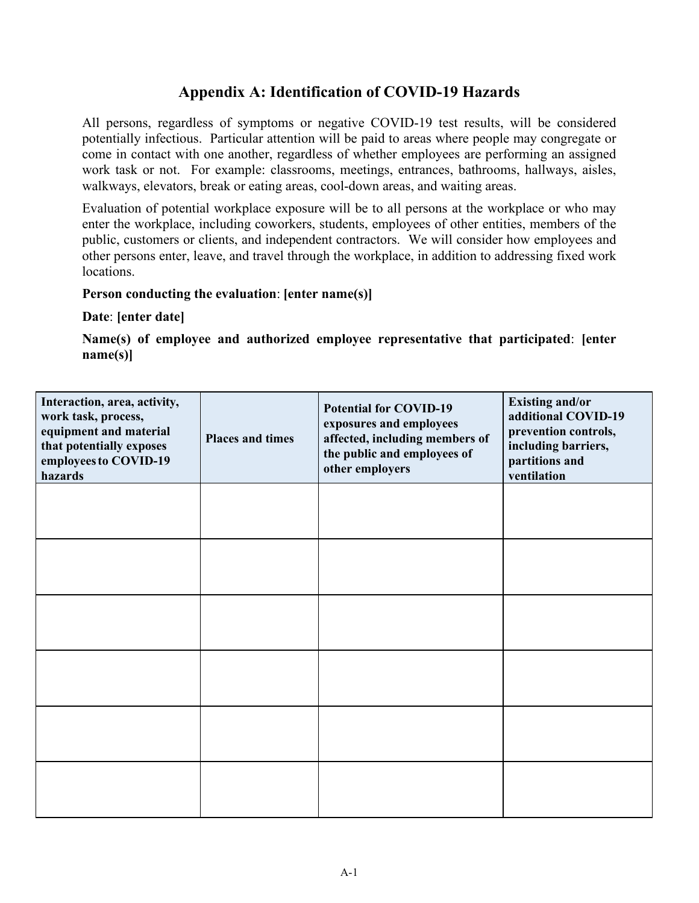# **Appendix A: Identification of COVID-19 Hazards**

All persons, regardless of symptoms or negative COVID-19 test results, will be considered potentially infectious. Particular attention will be paid to areas where people may congregate or come in contact with one another, regardless of whether employees are performing an assigned work task or not. For example: classrooms, meetings, entrances, bathrooms, hallways, aisles, walkways, elevators, break or eating areas, cool-down areas, and waiting areas.

Evaluation of potential workplace exposure will be to all persons at the workplace or who may enter the workplace, including coworkers, students, employees of other entities, members of the public, customers or clients, and independent contractors. We will consider how employees and other persons enter, leave, and travel through the workplace, in addition to addressing fixed work locations.

#### **Person conducting the evaluation**: **[enter name(s)]**

#### **Date**: **[enter date]**

**Name(s) of employee and authorized employee representative that participated**: **[enter name(s)]**

| Interaction, area, activity,<br>work task, process,<br>equipment and material<br>that potentially exposes<br>employees to COVID-19<br>hazards | <b>Places and times</b> | <b>Potential for COVID-19</b><br>exposures and employees<br>affected, including members of<br>the public and employees of<br>other employers | <b>Existing and/or</b><br>additional COVID-19<br>prevention controls,<br>including barriers,<br>partitions and<br>ventilation |
|-----------------------------------------------------------------------------------------------------------------------------------------------|-------------------------|----------------------------------------------------------------------------------------------------------------------------------------------|-------------------------------------------------------------------------------------------------------------------------------|
|                                                                                                                                               |                         |                                                                                                                                              |                                                                                                                               |
|                                                                                                                                               |                         |                                                                                                                                              |                                                                                                                               |
|                                                                                                                                               |                         |                                                                                                                                              |                                                                                                                               |
|                                                                                                                                               |                         |                                                                                                                                              |                                                                                                                               |
|                                                                                                                                               |                         |                                                                                                                                              |                                                                                                                               |
|                                                                                                                                               |                         |                                                                                                                                              |                                                                                                                               |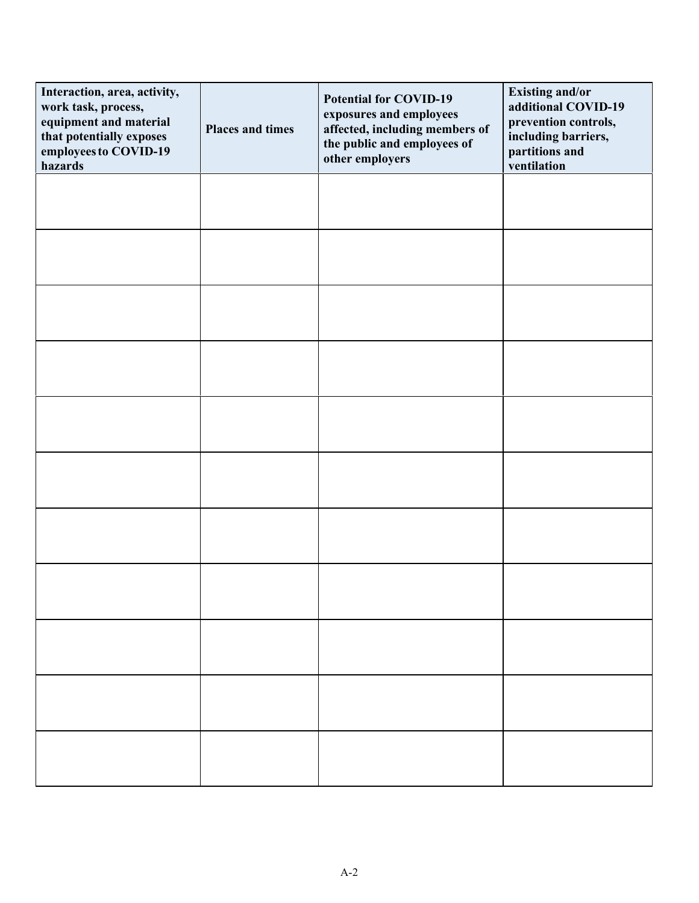| Interaction, area, activity,<br>work task, process,<br>equipment and material<br>that potentially exposes<br>employees to COVID-19<br>hazards | <b>Places and times</b> | <b>Potential for COVID-19</b><br>exposures and employees<br>affected, including members of<br>the public and employees of<br>other employers | <b>Existing and/or</b><br>additional COVID-19<br>prevention controls,<br>including barriers,<br>partitions and<br>ventilation |
|-----------------------------------------------------------------------------------------------------------------------------------------------|-------------------------|----------------------------------------------------------------------------------------------------------------------------------------------|-------------------------------------------------------------------------------------------------------------------------------|
|                                                                                                                                               |                         |                                                                                                                                              |                                                                                                                               |
|                                                                                                                                               |                         |                                                                                                                                              |                                                                                                                               |
|                                                                                                                                               |                         |                                                                                                                                              |                                                                                                                               |
|                                                                                                                                               |                         |                                                                                                                                              |                                                                                                                               |
|                                                                                                                                               |                         |                                                                                                                                              |                                                                                                                               |
|                                                                                                                                               |                         |                                                                                                                                              |                                                                                                                               |
|                                                                                                                                               |                         |                                                                                                                                              |                                                                                                                               |
|                                                                                                                                               |                         |                                                                                                                                              |                                                                                                                               |
|                                                                                                                                               |                         |                                                                                                                                              |                                                                                                                               |
|                                                                                                                                               |                         |                                                                                                                                              |                                                                                                                               |
|                                                                                                                                               |                         |                                                                                                                                              |                                                                                                                               |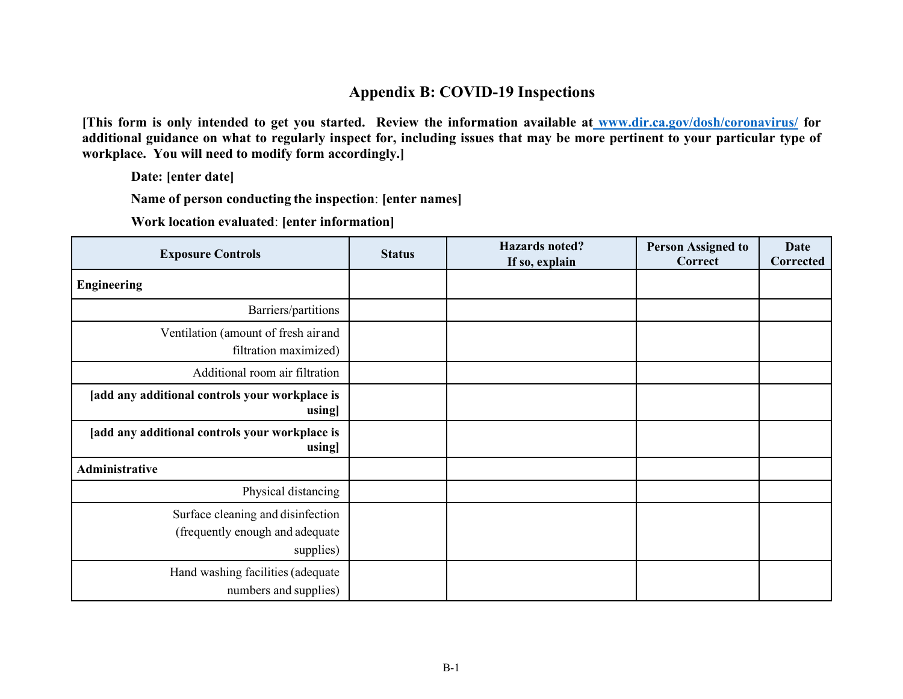## **Appendix B: COVID-19 Inspections**

**[This form is only intended to get you started. Review the information available at www.dir.ca.gov/dosh/coronavirus/ for additional guidance on what to regularly inspect for, including issues that may be more pertinent to your particular type of workplace. You will need to modify form accordingly.]** 

**Date: [enter date]**

**Name of person conducting the inspection**: **[enter names]**

**Work location evaluated**: **[enter information]**

| <b>Exposure Controls</b>                                                          | <b>Status</b> | <b>Hazards</b> noted?<br>If so, explain | <b>Person Assigned to</b><br>Correct | <b>Date</b><br>Corrected |
|-----------------------------------------------------------------------------------|---------------|-----------------------------------------|--------------------------------------|--------------------------|
| <b>Engineering</b>                                                                |               |                                         |                                      |                          |
| Barriers/partitions                                                               |               |                                         |                                      |                          |
| Ventilation (amount of fresh air and<br>filtration maximized)                     |               |                                         |                                      |                          |
| Additional room air filtration                                                    |               |                                         |                                      |                          |
| [add any additional controls your workplace is<br>using]                          |               |                                         |                                      |                          |
| [add any additional controls your workplace is<br>using]                          |               |                                         |                                      |                          |
| <b>Administrative</b>                                                             |               |                                         |                                      |                          |
| Physical distancing                                                               |               |                                         |                                      |                          |
| Surface cleaning and disinfection<br>(frequently enough and adequate<br>supplies) |               |                                         |                                      |                          |
| Hand washing facilities (adequate<br>numbers and supplies)                        |               |                                         |                                      |                          |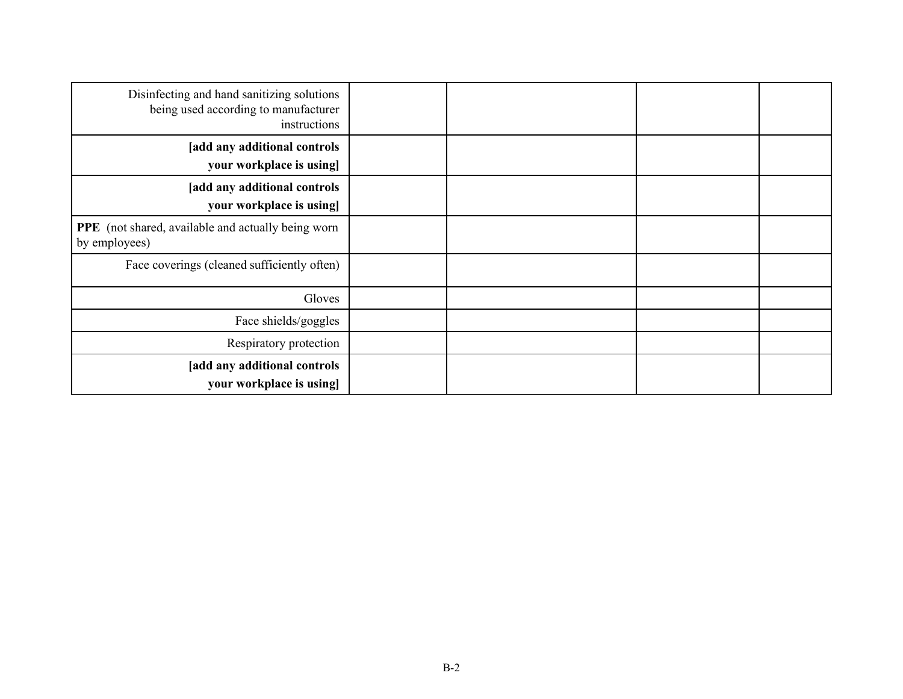| Disinfecting and hand sanitizing solutions<br>being used according to manufacturer<br>instructions |  |  |
|----------------------------------------------------------------------------------------------------|--|--|
| [add any additional controls<br>your workplace is using]                                           |  |  |
| [add any additional controls]<br>your workplace is using                                           |  |  |
| PPE (not shared, available and actually being worn<br>by employees)                                |  |  |
| Face coverings (cleaned sufficiently often)                                                        |  |  |
| Gloves                                                                                             |  |  |
| Face shields/goggles                                                                               |  |  |
| Respiratory protection                                                                             |  |  |
| [add any additional controls<br>your workplace is using                                            |  |  |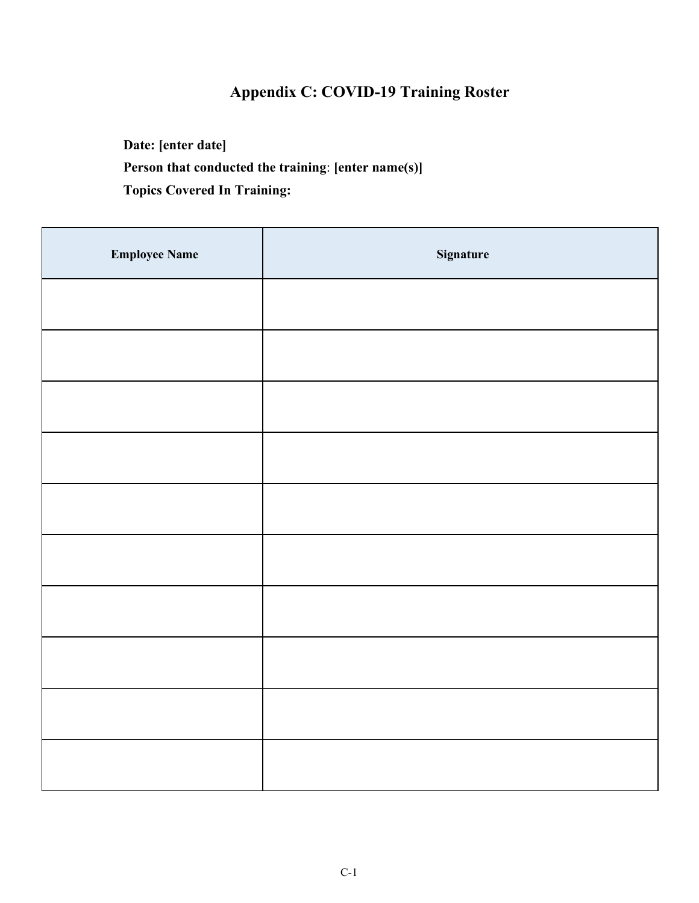# **Appendix C: COVID-19 Training Roster**

**Date: [enter date] Person that conducted the training**: **[enter name(s)] Topics Covered In Training:**

| <b>Employee Name</b> | Signature |
|----------------------|-----------|
|                      |           |
|                      |           |
|                      |           |
|                      |           |
|                      |           |
|                      |           |
|                      |           |
|                      |           |
|                      |           |
|                      |           |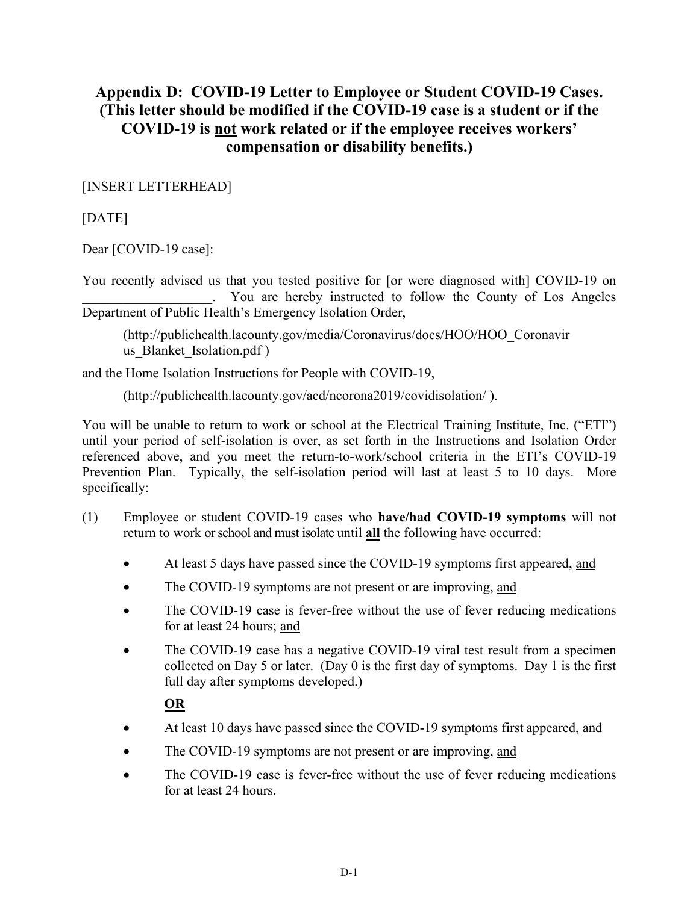# **Appendix D: COVID-19 Letter to Employee or Student COVID-19 Cases. (This letter should be modified if the COVID-19 case is a student or if the COVID-19 is not work related or if the employee receives workers' compensation or disability benefits.)**

[INSERT LETTERHEAD]

[DATE]

Dear [COVID-19 case]:

You recently advised us that you tested positive for [or were diagnosed with] COVID-19 on \_\_\_\_\_\_\_\_\_\_\_\_\_\_\_\_\_\_\_. You are hereby instructed to follow the County of Los Angeles Department of Public Health's Emergency Isolation Order,

(http://publichealth.lacounty.gov/media/Coronavirus/docs/HOO/HOO\_Coronavir us Blanket Isolation.pdf )

and the Home Isolation Instructions for People with COVID-19,

(http://publichealth.lacounty.gov/acd/ncorona2019/covidisolation/ ).

You will be unable to return to work or school at the Electrical Training Institute, Inc. ("ETI") until your period of self-isolation is over, as set forth in the Instructions and Isolation Order referenced above, and you meet the return-to-work/school criteria in the ETI's COVID-19 Prevention Plan. Typically, the self-isolation period will last at least 5 to 10 days. More specifically:

- (1) Employee or student COVID-19 cases who **have/had COVID-19 symptoms** will not return to work or school and must isolate until **all** the following have occurred:
	- At least 5 days have passed since the COVID-19 symptoms first appeared, and
	- The COVID-19 symptoms are not present or are improving, and
	- The COVID-19 case is fever-free without the use of fever reducing medications for at least 24 hours; and
	- The COVID-19 case has a negative COVID-19 viral test result from a specimen collected on Day 5 or later. (Day 0 is the first day of symptoms. Day 1 is the first full day after symptoms developed.)

## **OR**

- At least 10 days have passed since the COVID-19 symptoms first appeared, and
- The COVID-19 symptoms are not present or are improving, and
- The COVID-19 case is fever-free without the use of fever reducing medications for at least 24 hours.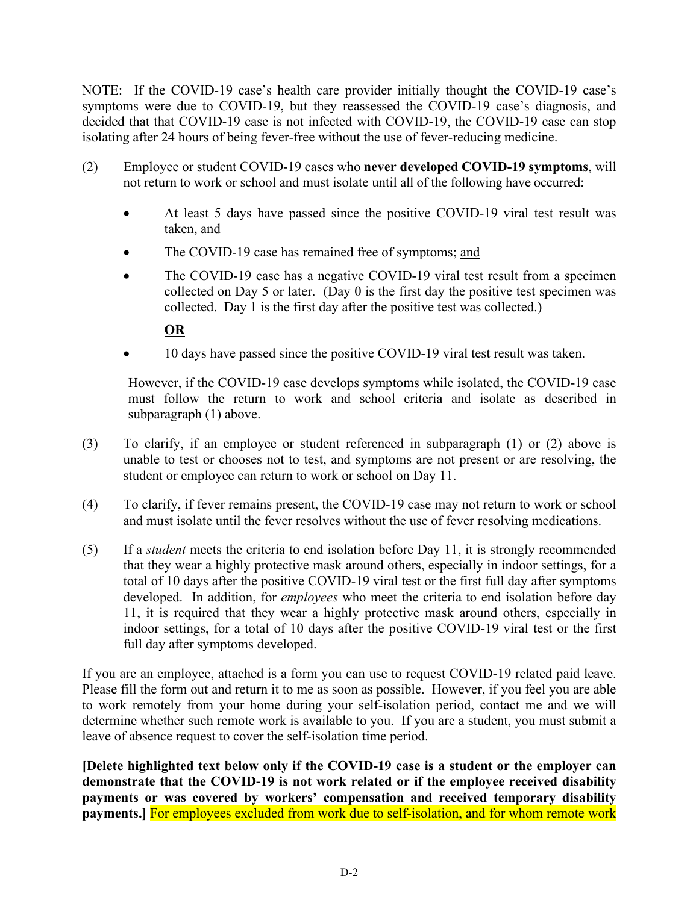NOTE: If the COVID-19 case's health care provider initially thought the COVID-19 case's symptoms were due to COVID-19, but they reassessed the COVID-19 case's diagnosis, and decided that that COVID-19 case is not infected with COVID-19, the COVID-19 case can stop isolating after 24 hours of being fever-free without the use of fever-reducing medicine.

- (2) Employee or student COVID-19 cases who **never developed COVID-19 symptoms**, will not return to work or school and must isolate until all of the following have occurred:
	- At least 5 days have passed since the positive COVID-19 viral test result was taken, and
	- The COVID-19 case has remained free of symptoms; and
	- The COVID-19 case has a negative COVID-19 viral test result from a specimen collected on Day 5 or later. (Day 0 is the first day the positive test specimen was collected. Day 1 is the first day after the positive test was collected.)

## **OR**

• 10 days have passed since the positive COVID-19 viral test result was taken.

However, if the COVID-19 case develops symptoms while isolated, the COVID-19 case must follow the return to work and school criteria and isolate as described in subparagraph (1) above.

- (3) To clarify, if an employee or student referenced in subparagraph (1) or (2) above is unable to test or chooses not to test, and symptoms are not present or are resolving, the student or employee can return to work or school on Day 11.
- (4) To clarify, if fever remains present, the COVID-19 case may not return to work or school and must isolate until the fever resolves without the use of fever resolving medications.
- (5) If a *student* meets the criteria to end isolation before Day 11, it is strongly recommended that they wear a highly protective mask around others, especially in indoor settings, for a total of 10 days after the positive COVID-19 viral test or the first full day after symptoms developed. In addition, for *employees* who meet the criteria to end isolation before day 11, it is required that they wear a highly protective mask around others, especially in indoor settings, for a total of 10 days after the positive COVID-19 viral test or the first full day after symptoms developed.

If you are an employee, attached is a form you can use to request COVID-19 related paid leave. Please fill the form out and return it to me as soon as possible. However, if you feel you are able to work remotely from your home during your self-isolation period, contact me and we will determine whether such remote work is available to you. If you are a student, you must submit a leave of absence request to cover the self-isolation time period.

**[Delete highlighted text below only if the COVID-19 case is a student or the employer can demonstrate that the COVID-19 is not work related or if the employee received disability payments or was covered by workers' compensation and received temporary disability payments.]** For employees excluded from work due to self-isolation, and for whom remote work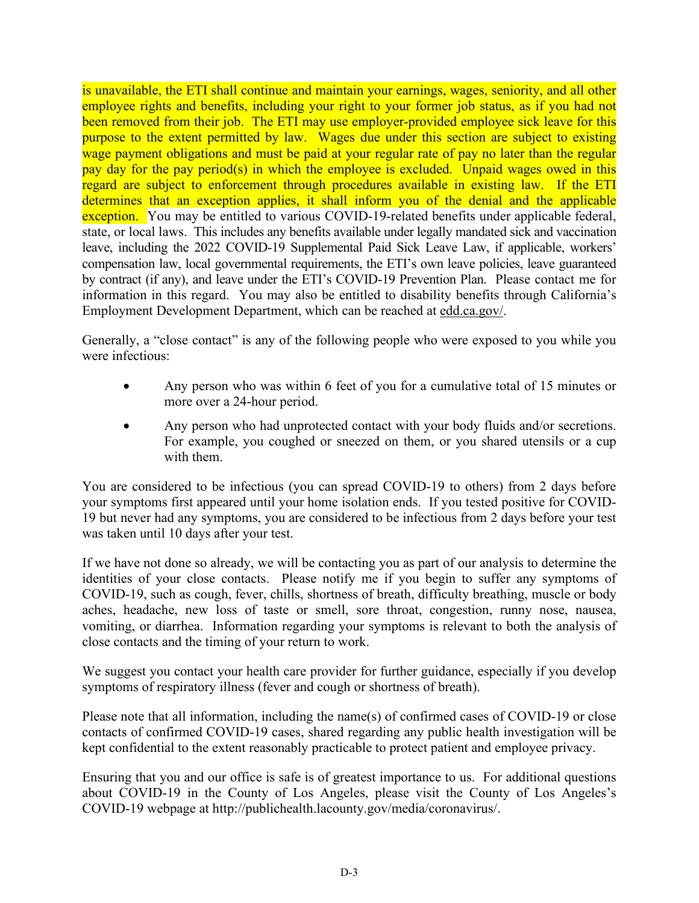is unavailable, the ETI shall continue and maintain your earnings, wages, seniority, and all other employee rights and benefits, including your right to your former job status, as if you had not been removed from their job. The ETI may use employer-provided employee sick leave for this purpose to the extent permitted by law. Wages due under this section are subject to existing wage payment obligations and must be paid at your regular rate of pay no later than the regular pay day for the pay period(s) in which the employee is excluded. Unpaid wages owed in this regard are subject to enforcement through procedures available in existing law. If the ETI determines that an exception applies, it shall inform you of the denial and the applicable exception. You may be entitled to various COVID-19-related benefits under applicable federal, state, or local laws. This includes any benefits available under legally mandated sick and vaccination leave, including the 2022 COVID-19 Supplemental Paid Sick Leave Law, if applicable, workers' compensation law, local governmental requirements, the ETI's own leave policies, leave guaranteed by contract (if any), and leave under the ETI's COVID-19 Prevention Plan. Please contact me for information in this regard. You may also be entitled to disability benefits through California's Employment Development Department, which can be reached at edd.ca.gov/.

Generally, a "close contact" is any of the following people who were exposed to you while you were infectious:

- Any person who was within 6 feet of you for a cumulative total of 15 minutes or more over a 24-hour period.
- Any person who had unprotected contact with your body fluids and/or secretions. For example, you coughed or sneezed on them, or you shared utensils or a cup with them.

You are considered to be infectious (you can spread COVID-19 to others) from 2 days before your symptoms first appeared until your home isolation ends. If you tested positive for COVID-19 but never had any symptoms, you are considered to be infectious from 2 days before your test was taken until 10 days after your test.

If we have not done so already, we will be contacting you as part of our analysis to determine the identities of your close contacts. Please notify me if you begin to suffer any symptoms of COVID-19, such as cough, fever, chills, shortness of breath, difficulty breathing, muscle or body aches, headache, new loss of taste or smell, sore throat, congestion, runny nose, nausea, vomiting, or diarrhea. Information regarding your symptoms is relevant to both the analysis of close contacts and the timing of your return to work.

We suggest you contact your health care provider for further guidance, especially if you develop symptoms of respiratory illness (fever and cough or shortness of breath).

Please note that all information, including the name(s) of confirmed cases of COVID-19 or close contacts of confirmed COVID-19 cases, shared regarding any public health investigation will be kept confidential to the extent reasonably practicable to protect patient and employee privacy.

Ensuring that you and our office is safe is of greatest importance to us. For additional questions about COVID-19 in the County of Los Angeles, please visit the County of Los Angeles's COVID-19 webpage at http://publichealth.lacounty.gov/media/coronavirus/.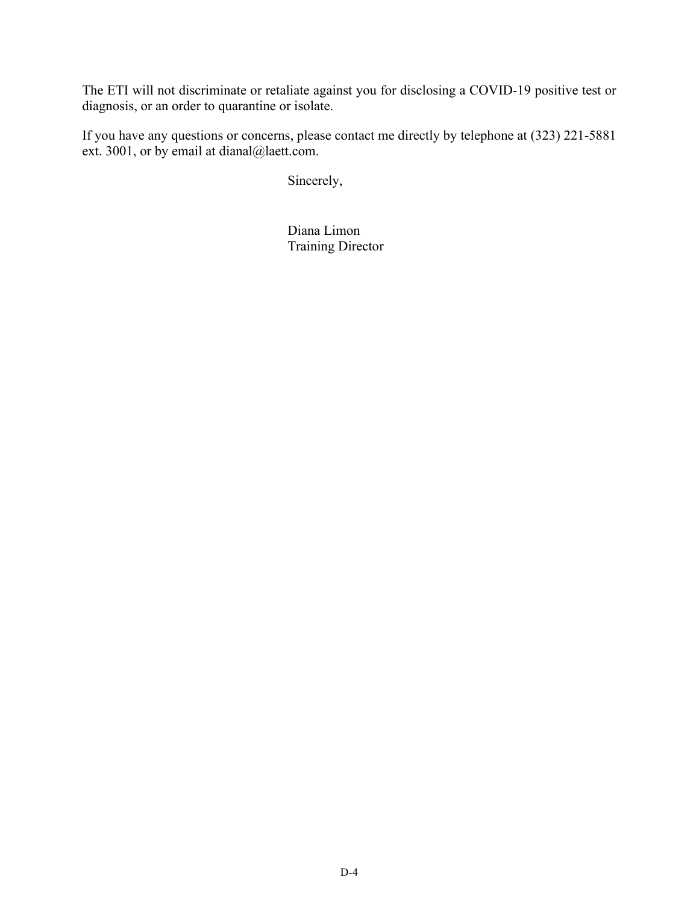The ETI will not discriminate or retaliate against you for disclosing a COVID-19 positive test or diagnosis, or an order to quarantine or isolate.

If you have any questions or concerns, please contact me directly by telephone at (323) 221-5881 ext. 3001, or by email at dianal@laett.com.

Sincerely,

Diana Limon Training Director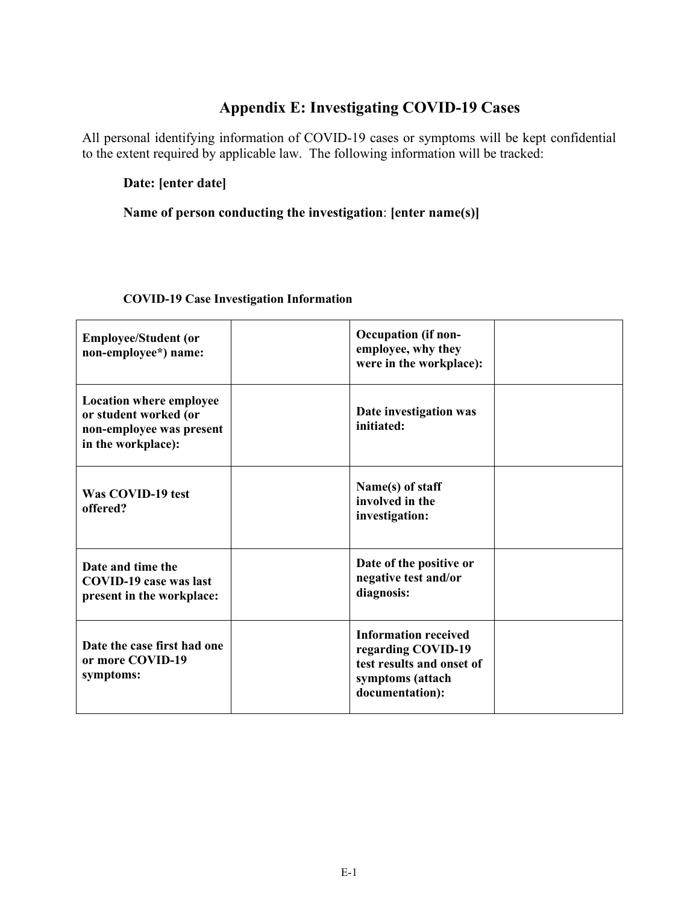# **Appendix E: Investigating COVID-19 Cases**

All personal identifying information of COVID-19 cases or symptoms will be kept confidential to the extent required by applicable law. The following information will be tracked:

**Date: [enter date]**

#### **Name of person conducting the investigation**: **[enter name(s)]**

| <b>Employee/Student (or</b><br>non-employee*) name:                                                       | <b>Occupation</b> (if non-<br>employee, why they<br>were in the workplace):                                           |
|-----------------------------------------------------------------------------------------------------------|-----------------------------------------------------------------------------------------------------------------------|
| <b>Location where employee</b><br>or student worked (or<br>non-employee was present<br>in the workplace): | Date investigation was<br>initiated:                                                                                  |
| Was COVID-19 test<br>offered?                                                                             | Name(s) of staff<br>involved in the<br>investigation:                                                                 |
| Date and time the<br><b>COVID-19 case was last</b><br>present in the workplace:                           | Date of the positive or<br>negative test and/or<br>diagnosis:                                                         |
| Date the case first had one<br>or more COVID-19<br>symptoms:                                              | <b>Information received</b><br>regarding COVID-19<br>test results and onset of<br>symptoms (attach<br>documentation): |

#### **COVID-19 Case Investigation Information**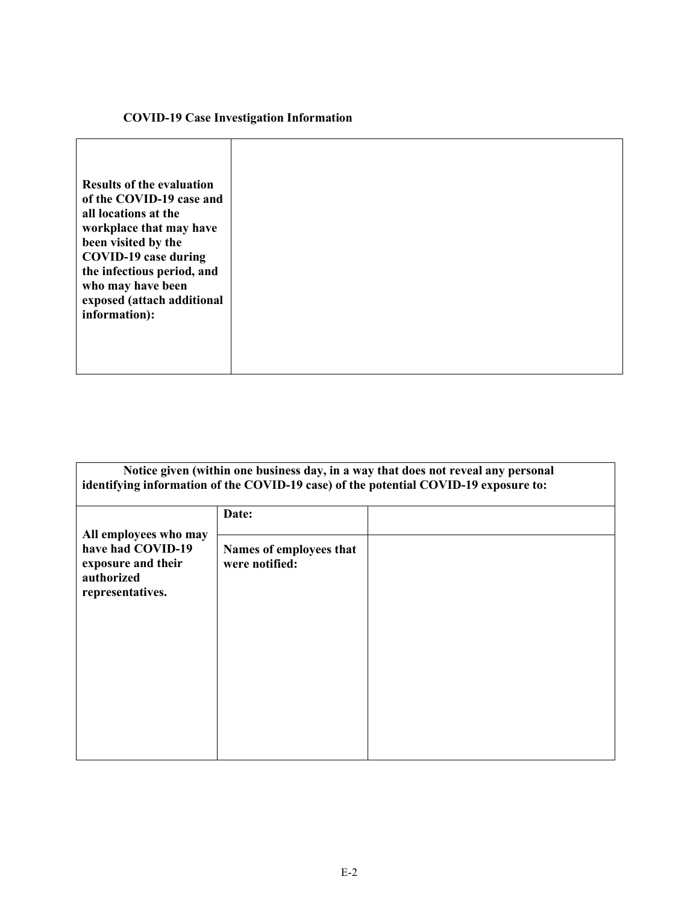#### **COVID-19 Case Investigation Information**

| Notice given (within one business day, in a way that does not reveal any personal<br>identifying information of the COVID-19 case) of the potential COVID-19 exposure to: |                                           |  |
|---------------------------------------------------------------------------------------------------------------------------------------------------------------------------|-------------------------------------------|--|
|                                                                                                                                                                           | Date:                                     |  |
| All employees who may<br>have had COVID-19<br>exposure and their<br>authorized<br>representatives.                                                                        | Names of employees that<br>were notified: |  |
|                                                                                                                                                                           |                                           |  |
|                                                                                                                                                                           |                                           |  |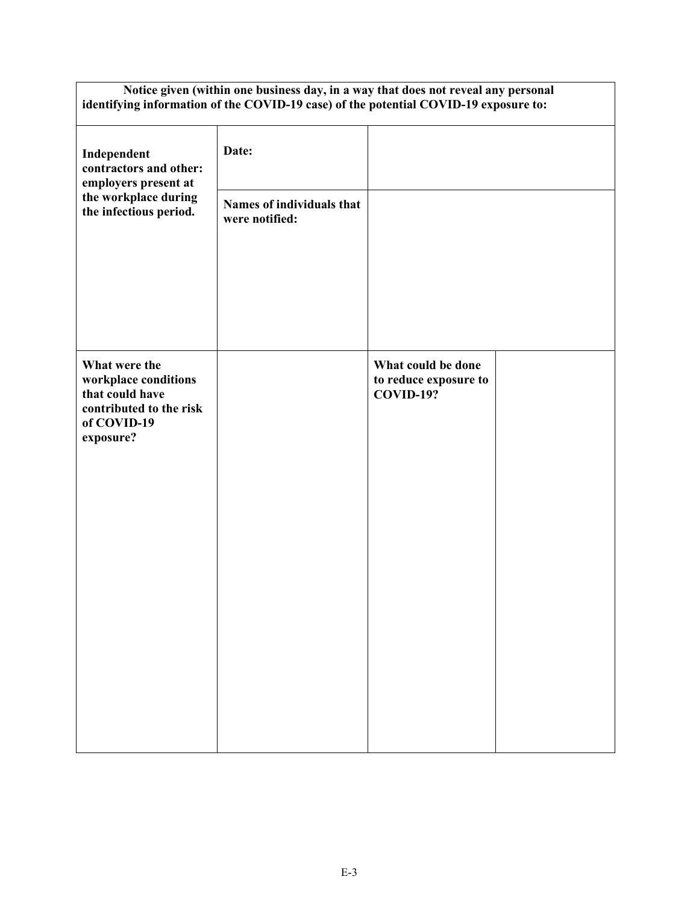| Notice given (within one business day, in a way that does not reveal any personal<br>identifying information of the COVID-19 case) of the potential COVID-19 exposure to: |                                             |                                                                 |  |
|---------------------------------------------------------------------------------------------------------------------------------------------------------------------------|---------------------------------------------|-----------------------------------------------------------------|--|
| Independent<br>contractors and other:<br>employers present at                                                                                                             | Date:                                       |                                                                 |  |
| the workplace during<br>the infectious period.                                                                                                                            | Names of individuals that<br>were notified: |                                                                 |  |
|                                                                                                                                                                           |                                             |                                                                 |  |
|                                                                                                                                                                           |                                             |                                                                 |  |
| What were the<br>workplace conditions<br>that could have<br>contributed to the risk<br>of COVID-19<br>exposure?                                                           |                                             | What could be done<br>to reduce exposure to<br><b>COVID-19?</b> |  |
|                                                                                                                                                                           |                                             |                                                                 |  |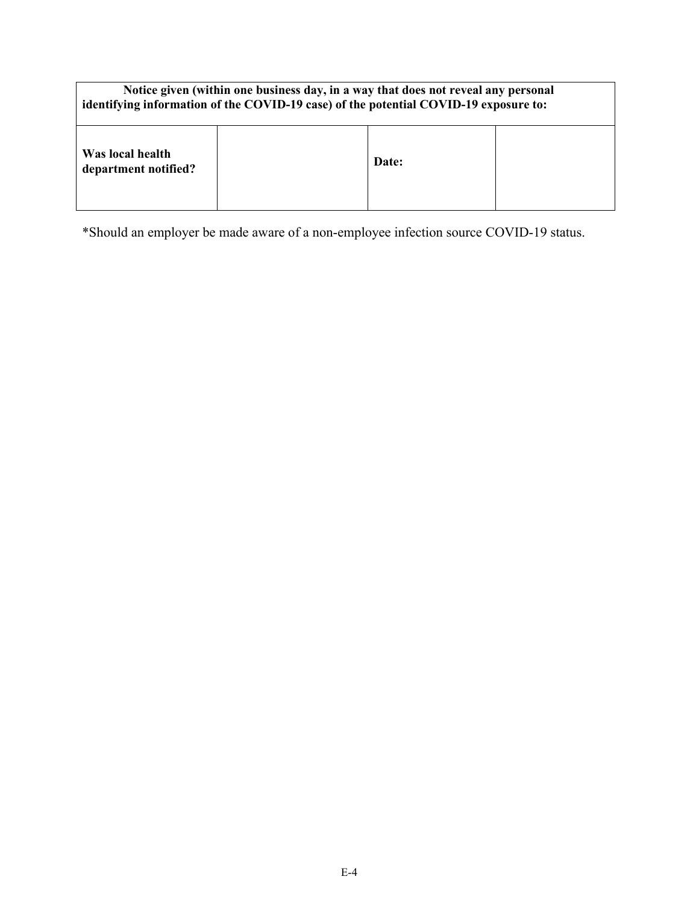| Notice given (within one business day, in a way that does not reveal any personal<br>identifying information of the COVID-19 case) of the potential COVID-19 exposure to: |  |       |  |
|---------------------------------------------------------------------------------------------------------------------------------------------------------------------------|--|-------|--|
| Was local health<br>department notified?                                                                                                                                  |  | Date: |  |

\*Should an employer be made aware of a non-employee infection source COVID-19 status.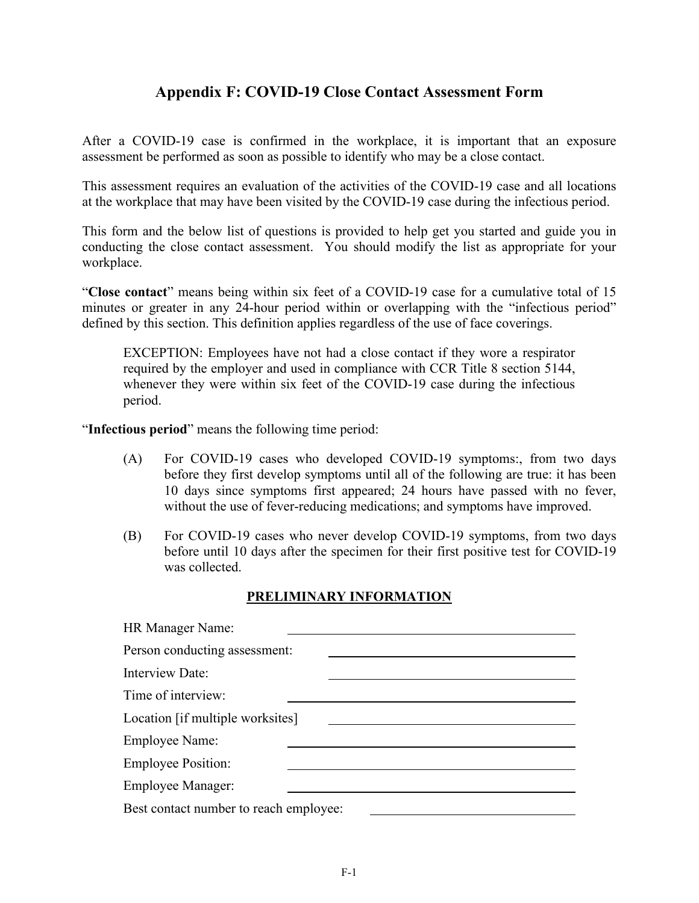## **Appendix F: COVID-19 Close Contact Assessment Form**

After a COVID-19 case is confirmed in the workplace, it is important that an exposure assessment be performed as soon as possible to identify who may be a close contact.

This assessment requires an evaluation of the activities of the COVID-19 case and all locations at the workplace that may have been visited by the COVID-19 case during the infectious period.

This form and the below list of questions is provided to help get you started and guide you in conducting the close contact assessment. You should modify the list as appropriate for your workplace.

"**Close contact**" means being within six feet of a COVID-19 case for a cumulative total of 15 minutes or greater in any 24-hour period within or overlapping with the "infectious period" defined by this section. This definition applies regardless of the use of face coverings.

EXCEPTION: Employees have not had a close contact if they wore a respirator required by the employer and used in compliance with CCR Title 8 section 5144, whenever they were within six feet of the COVID-19 case during the infectious period.

"**Infectious period**" means the following time period:

- (A) For COVID-19 cases who developed COVID-19 symptoms:, from two days before they first develop symptoms until all of the following are true: it has been 10 days since symptoms first appeared; 24 hours have passed with no fever, without the use of fever-reducing medications; and symptoms have improved.
- (B) For COVID-19 cases who never develop COVID-19 symptoms, from two days before until 10 days after the specimen for their first positive test for COVID-19 was collected.

#### **PRELIMINARY INFORMATION**

| HR Manager Name:                       |
|----------------------------------------|
| Person conducting assessment:          |
| Interview Date:                        |
| Time of interview:                     |
| Location [if multiple worksites]       |
| <b>Employee Name:</b>                  |
| <b>Employee Position:</b>              |
| <b>Employee Manager:</b>               |
| Best contact number to reach employee: |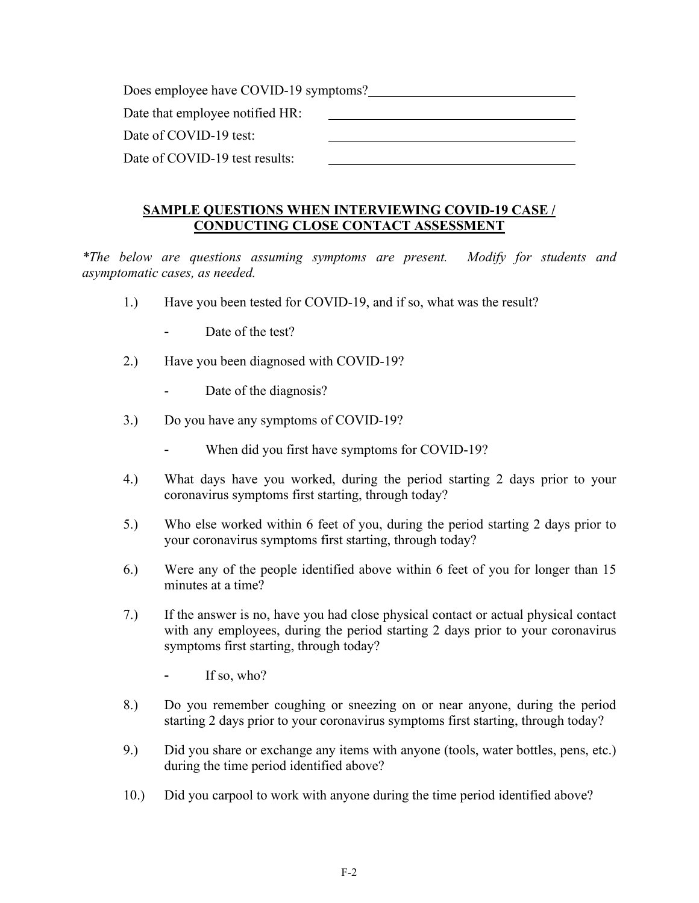| Does employee have COVID-19 symptoms? |  |  |
|---------------------------------------|--|--|
| Date that employee notified HR:       |  |  |
| Date of COVID-19 test:                |  |  |
| Date of COVID-19 test results:        |  |  |

#### **SAMPLE QUESTIONS WHEN INTERVIEWING COVID-19 CASE / CONDUCTING CLOSE CONTACT ASSESSMENT**

*\*The below are questions assuming symptoms are present. Modify for students and asymptomatic cases, as needed.* 

- 1.) Have you been tested for COVID-19, and if so, what was the result?
	- Date of the test?
- 2.) Have you been diagnosed with COVID-19?
	- Date of the diagnosis?
- 3.) Do you have any symptoms of COVID-19?
	- When did you first have symptoms for COVID-19?
- 4.) What days have you worked, during the period starting 2 days prior to your coronavirus symptoms first starting, through today?
- 5.) Who else worked within 6 feet of you, during the period starting 2 days prior to your coronavirus symptoms first starting, through today?
- 6.) Were any of the people identified above within 6 feet of you for longer than 15 minutes at a time?
- 7.) If the answer is no, have you had close physical contact or actual physical contact with any employees, during the period starting 2 days prior to your coronavirus symptoms first starting, through today?
	- If so, who?
- 8.) Do you remember coughing or sneezing on or near anyone, during the period starting 2 days prior to your coronavirus symptoms first starting, through today?
- 9.) Did you share or exchange any items with anyone (tools, water bottles, pens, etc.) during the time period identified above?
- 10.) Did you carpool to work with anyone during the time period identified above?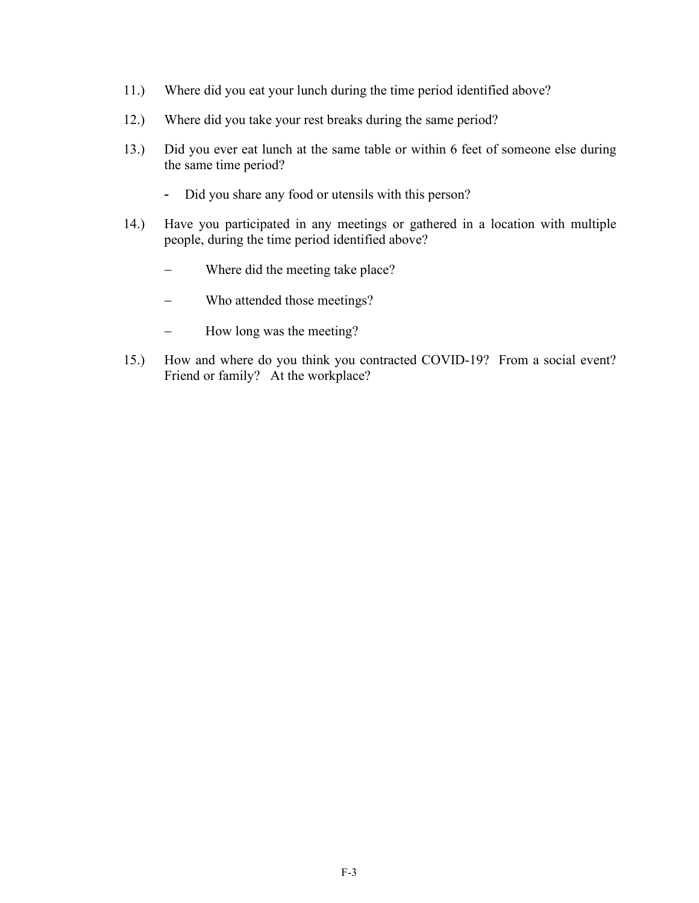- 11.) Where did you eat your lunch during the time period identified above?
- 12.) Where did you take your rest breaks during the same period?
- 13.) Did you ever eat lunch at the same table or within 6 feet of someone else during the same time period?
	- Did you share any food or utensils with this person?
- 14.) Have you participated in any meetings or gathered in a location with multiple people, during the time period identified above?
	- Where did the meeting take place?
	- Who attended those meetings?
	- How long was the meeting?
- 15.) How and where do you think you contracted COVID-19? From a social event? Friend or family? At the workplace?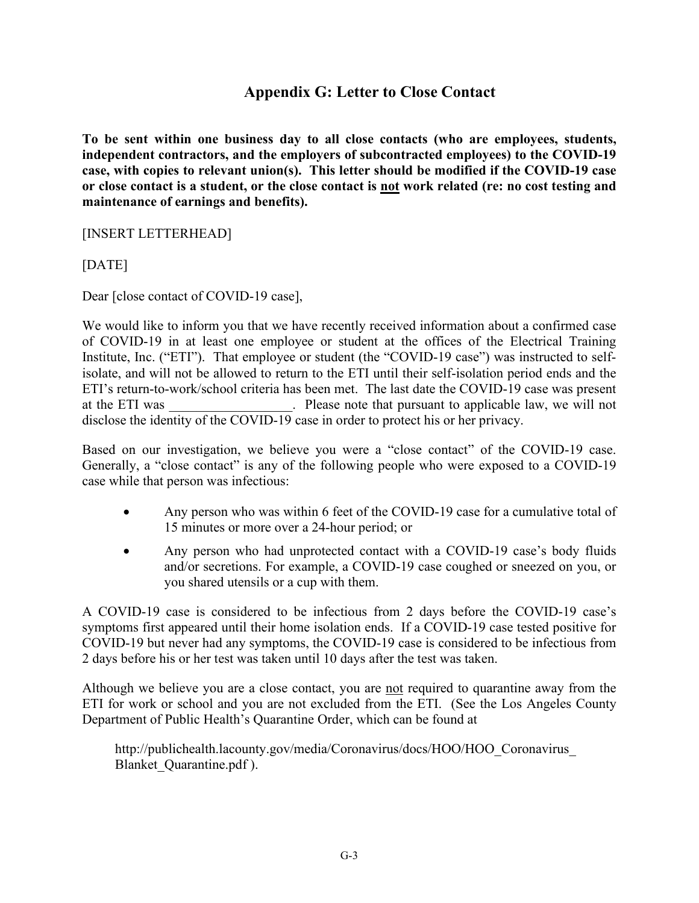## **Appendix G: Letter to Close Contact**

**To be sent within one business day to all close contacts (who are employees, students, independent contractors, and the employers of subcontracted employees) to the COVID-19 case, with copies to relevant union(s). This letter should be modified if the COVID-19 case or close contact is a student, or the close contact is not work related (re: no cost testing and maintenance of earnings and benefits).**

[INSERT LETTERHEAD]

[DATE]

Dear [close contact of COVID-19 case],

We would like to inform you that we have recently received information about a confirmed case of COVID-19 in at least one employee or student at the offices of the Electrical Training Institute, Inc. ("ETI"). That employee or student (the "COVID-19 case") was instructed to selfisolate, and will not be allowed to return to the ETI until their self-isolation period ends and the ETI's return-to-work/school criteria has been met. The last date the COVID-19 case was present at the ETI was external contracts are please note that pursuant to applicable law, we will not disclose the identity of the COVID-19 case in order to protect his or her privacy.

Based on our investigation, we believe you were a "close contact" of the COVID-19 case. Generally, a "close contact" is any of the following people who were exposed to a COVID-19 case while that person was infectious:

- Any person who was within 6 feet of the COVID-19 case for a cumulative total of 15 minutes or more over a 24-hour period; or
- Any person who had unprotected contact with a COVID-19 case's body fluids and/or secretions. For example, a COVID-19 case coughed or sneezed on you, or you shared utensils or a cup with them.

A COVID-19 case is considered to be infectious from 2 days before the COVID-19 case's symptoms first appeared until their home isolation ends. If a COVID-19 case tested positive for COVID-19 but never had any symptoms, the COVID-19 case is considered to be infectious from 2 days before his or her test was taken until 10 days after the test was taken.

Although we believe you are a close contact, you are not required to quarantine away from the ETI for work or school and you are not excluded from the ETI. (See the Los Angeles County Department of Public Health's Quarantine Order, which can be found at

http://publichealth.lacounty.gov/media/Coronavirus/docs/HOO/HOO\_Coronavirus\_ Blanket\_Quarantine.pdf ).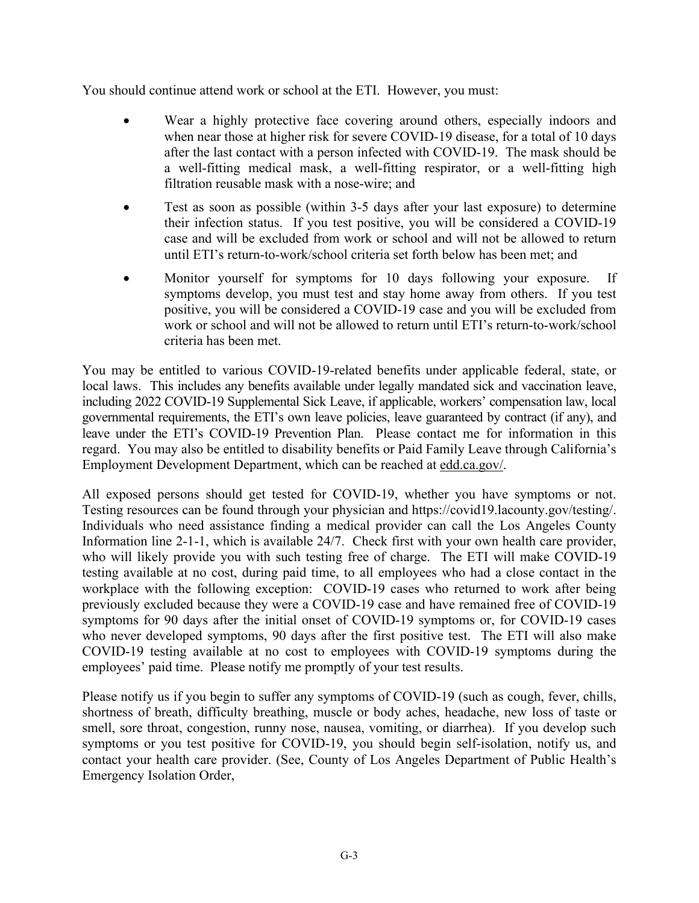You should continue attend work or school at the ETI. However, you must:

- Wear a highly protective face covering around others, especially indoors and when near those at higher risk for severe COVID-19 disease, for a total of 10 days after the last contact with a person infected with COVID-19. The mask should be a well-fitting medical mask, a well-fitting respirator, or a well-fitting high filtration reusable mask with a nose-wire; and
- Test as soon as possible (within 3-5 days after your last exposure) to determine their infection status. If you test positive, you will be considered a COVID-19 case and will be excluded from work or school and will not be allowed to return until ETI's return-to-work/school criteria set forth below has been met; and
- Monitor yourself for symptoms for 10 days following your exposure. If symptoms develop, you must test and stay home away from others. If you test positive, you will be considered a COVID-19 case and you will be excluded from work or school and will not be allowed to return until ETI's return-to-work/school criteria has been met.

You may be entitled to various COVID-19-related benefits under applicable federal, state, or local laws. This includes any benefits available under legally mandated sick and vaccination leave, including 2022 COVID-19 Supplemental Sick Leave, if applicable, workers' compensation law, local governmental requirements, the ETI's own leave policies, leave guaranteed by contract (if any), and leave under the ETI's COVID-19 Prevention Plan. Please contact me for information in this regard. You may also be entitled to disability benefits or Paid Family Leave through California's Employment Development Department, which can be reached at edd.ca.gov/.

All exposed persons should get tested for COVID-19, whether you have symptoms or not. Testing resources can be found through your physician and https://covid19.lacounty.gov/testing/. Individuals who need assistance finding a medical provider can call the Los Angeles County Information line 2-1-1, which is available 24/7. Check first with your own health care provider, who will likely provide you with such testing free of charge. The ETI will make COVID-19 testing available at no cost, during paid time, to all employees who had a close contact in the workplace with the following exception: COVID-19 cases who returned to work after being previously excluded because they were a COVID-19 case and have remained free of COVID-19 symptoms for 90 days after the initial onset of COVID-19 symptoms or, for COVID-19 cases who never developed symptoms, 90 days after the first positive test. The ETI will also make COVID-19 testing available at no cost to employees with COVID-19 symptoms during the employees' paid time. Please notify me promptly of your test results.

Please notify us if you begin to suffer any symptoms of COVID-19 (such as cough, fever, chills, shortness of breath, difficulty breathing, muscle or body aches, headache, new loss of taste or smell, sore throat, congestion, runny nose, nausea, vomiting, or diarrhea). If you develop such symptoms or you test positive for COVID-19, you should begin self-isolation, notify us, and contact your health care provider. (See, County of Los Angeles Department of Public Health's Emergency Isolation Order,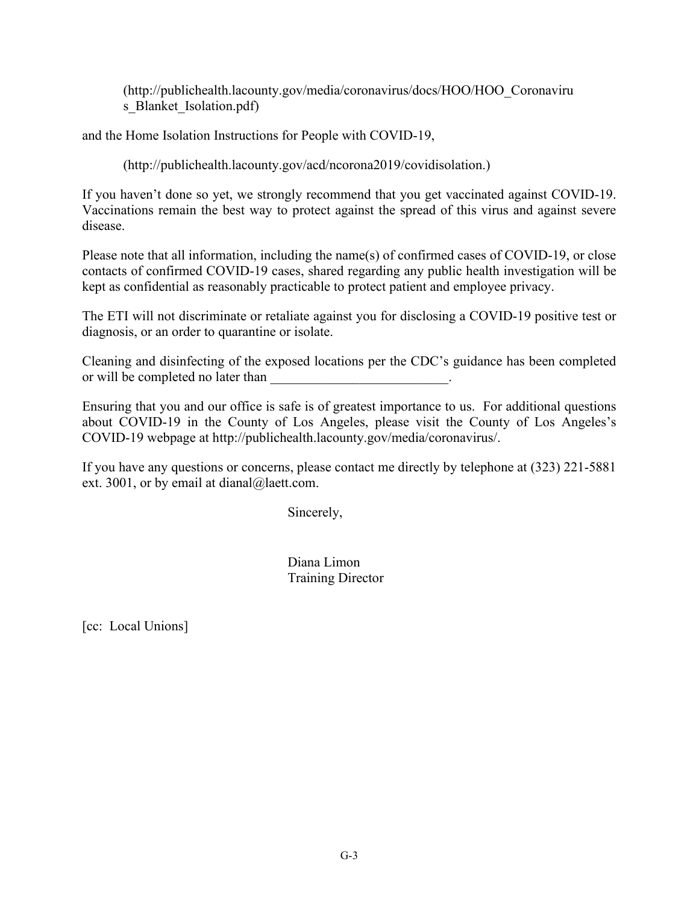(http://publichealth.lacounty.gov/media/coronavirus/docs/HOO/HOO\_Coronaviru s Blanket Isolation.pdf)

and the Home Isolation Instructions for People with COVID-19,

(http://publichealth.lacounty.gov/acd/ncorona2019/covidisolation.)

If you haven't done so yet, we strongly recommend that you get vaccinated against COVID-19. Vaccinations remain the best way to protect against the spread of this virus and against severe disease.

Please note that all information, including the name(s) of confirmed cases of COVID-19, or close contacts of confirmed COVID-19 cases, shared regarding any public health investigation will be kept as confidential as reasonably practicable to protect patient and employee privacy.

The ETI will not discriminate or retaliate against you for disclosing a COVID-19 positive test or diagnosis, or an order to quarantine or isolate.

Cleaning and disinfecting of the exposed locations per the CDC's guidance has been completed or will be completed no later than

Ensuring that you and our office is safe is of greatest importance to us. For additional questions about COVID-19 in the County of Los Angeles, please visit the County of Los Angeles's COVID-19 webpage at http://publichealth.lacounty.gov/media/coronavirus/.

If you have any questions or concerns, please contact me directly by telephone at (323) 221-5881 ext. 3001, or by email at dianal@laett.com.

Sincerely,

Diana Limon Training Director

[cc: Local Unions]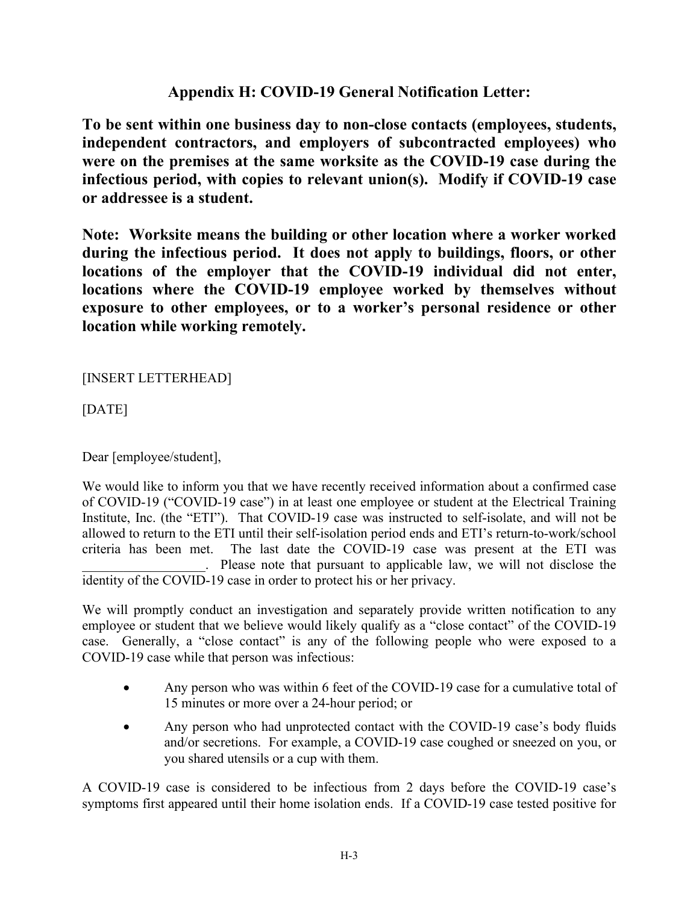# **Appendix H: COVID-19 General Notification Letter:**

**To be sent within one business day to non-close contacts (employees, students, independent contractors, and employers of subcontracted employees) who were on the premises at the same worksite as the COVID-19 case during the infectious period, with copies to relevant union(s). Modify if COVID-19 case or addressee is a student.** 

**Note: Worksite means the building or other location where a worker worked during the infectious period. It does not apply to buildings, floors, or other locations of the employer that the COVID-19 individual did not enter, locations where the COVID-19 employee worked by themselves without exposure to other employees, or to a worker's personal residence or other location while working remotely.**

[INSERT LETTERHEAD]

[DATE]

Dear [employee/student],

We would like to inform you that we have recently received information about a confirmed case of COVID-19 ("COVID-19 case") in at least one employee or student at the Electrical Training Institute, Inc. (the "ETI"). That COVID-19 case was instructed to self-isolate, and will not be allowed to return to the ETI until their self-isolation period ends and ETI's return-to-work/school criteria has been met. The last date the COVID-19 case was present at the ETI was . Please note that pursuant to applicable law, we will not disclose the identity of the COVID-19 case in order to protect his or her privacy.

We will promptly conduct an investigation and separately provide written notification to any employee or student that we believe would likely qualify as a "close contact" of the COVID-19 case. Generally, a "close contact" is any of the following people who were exposed to a COVID-19 case while that person was infectious:

- Any person who was within 6 feet of the COVID-19 case for a cumulative total of 15 minutes or more over a 24-hour period; or
- Any person who had unprotected contact with the COVID-19 case's body fluids and/or secretions. For example, a COVID-19 case coughed or sneezed on you, or you shared utensils or a cup with them.

A COVID-19 case is considered to be infectious from 2 days before the COVID-19 case's symptoms first appeared until their home isolation ends. If a COVID-19 case tested positive for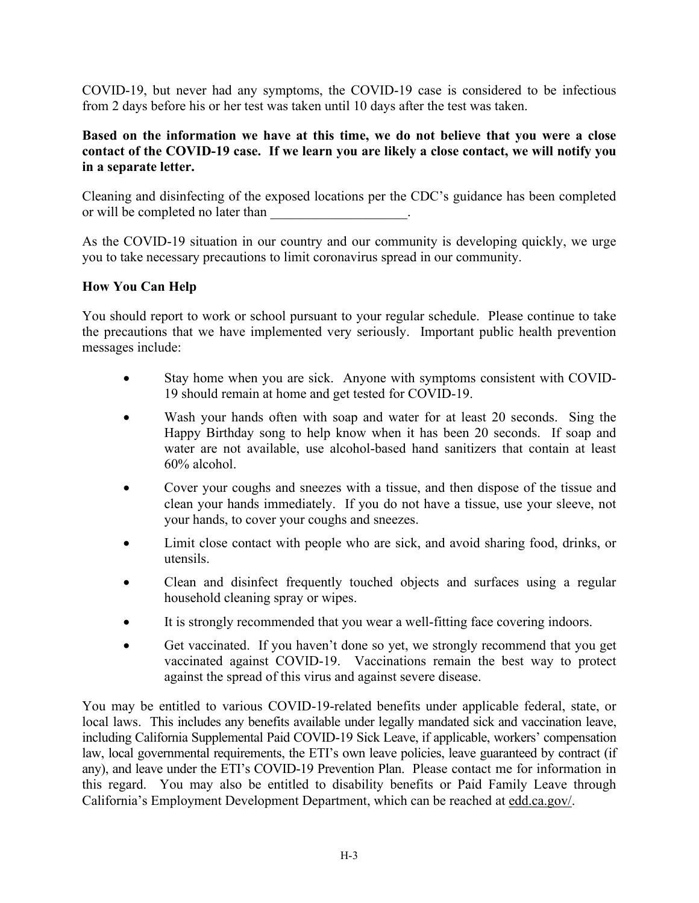COVID-19, but never had any symptoms, the COVID-19 case is considered to be infectious from 2 days before his or her test was taken until 10 days after the test was taken.

#### **Based on the information we have at this time, we do not believe that you were a close contact of the COVID-19 case. If we learn you are likely a close contact, we will notify you in a separate letter.**

Cleaning and disinfecting of the exposed locations per the CDC's guidance has been completed or will be completed no later than  $\blacksquare$ 

As the COVID-19 situation in our country and our community is developing quickly, we urge you to take necessary precautions to limit coronavirus spread in our community.

#### **How You Can Help**

You should report to work or school pursuant to your regular schedule. Please continue to take the precautions that we have implemented very seriously. Important public health prevention messages include:

- Stay home when you are sick. Anyone with symptoms consistent with COVID-19 should remain at home and get tested for COVID-19.
- Wash your hands often with soap and water for at least 20 seconds. Sing the Happy Birthday song to help know when it has been 20 seconds. If soap and water are not available, use alcohol-based hand sanitizers that contain at least 60% alcohol.
- Cover your coughs and sneezes with a tissue, and then dispose of the tissue and clean your hands immediately. If you do not have a tissue, use your sleeve, not your hands, to cover your coughs and sneezes.
- Limit close contact with people who are sick, and avoid sharing food, drinks, or utensils.
- Clean and disinfect frequently touched objects and surfaces using a regular household cleaning spray or wipes.
- It is strongly recommended that you wear a well-fitting face covering indoors.
- Get vaccinated. If you haven't done so yet, we strongly recommend that you get vaccinated against COVID-19. Vaccinations remain the best way to protect against the spread of this virus and against severe disease.

You may be entitled to various COVID-19-related benefits under applicable federal, state, or local laws. This includes any benefits available under legally mandated sick and vaccination leave, including California Supplemental Paid COVID-19 Sick Leave, if applicable, workers' compensation law, local governmental requirements, the ETI's own leave policies, leave guaranteed by contract (if any), and leave under the ETI's COVID-19 Prevention Plan. Please contact me for information in this regard. You may also be entitled to disability benefits or Paid Family Leave through California's Employment Development Department, which can be reached at edd.ca.gov/.